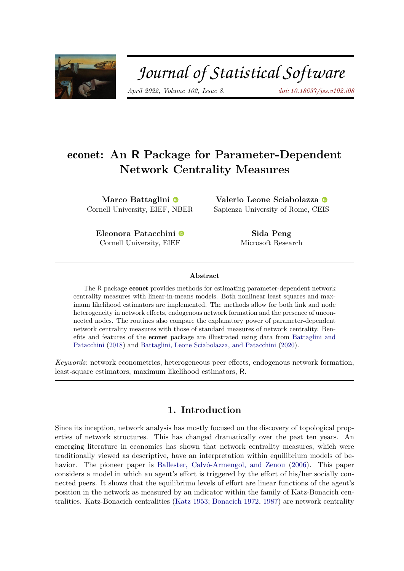

# Journal of Statistical Software

*April 2022, Volume 102, Issue 8. [doi: 10.18637/jss.v102.i08](https://doi.org/10.18637/jss.v102.i08)*

# econet**: An R Package for Parameter-Dependent Network Centrality Measures**

**Marco Battaglini** Cornell University, EIEF, [NB](https://orcid.org/0000-0001-9690-0721)ER

**Valerio Leone Sciabolazza** Sapienza University of Rome, C[EIS](https://orcid.org/0000-0003-2537-3084)

**Eleonora Patacchini** Cornell University, EIEF

**Sida Peng** Microsoft Research

#### **Abstract**

The R package econet provides methods for estimating parameter-dependent network centrality measures with linear-in-means models. Both nonlinear least squares and maximum likelihood estimators are implemented. The methods allow for both link and node heterogeneity in network effects, endogenous network formation and the presence of unconnected nodes. The routines also compare the explanatory power of parameter-dependent network centrality measures with those of standard measures of network centrality. Benefits and features of the econet package are illustrated using data from [Battaglini and](#page-26-0) [Patacchini](#page-26-0) [\(2018\)](#page-26-0) and [Battaglini, Leone Sciabolazza, and Patacchini](#page-26-1) [\(2020\)](#page-26-1).

*Keywords*: network econometrics, heterogeneous peer effects, endogenous network formation, least-square estimators, maximum likelihood estimators, R.

# **1. Introduction**

Since its inception, network analysis has mostly focused on the discovery of topological properties of network structures. This has changed dramatically over the past ten years. An emerging literature in economics has shown that network centrality measures, which were traditionally viewed as descriptive, have an interpretation within equilibrium models of behavior. The pioneer paper is [Ballester, Calvó-Armengol, and Zenou](#page-26-2) [\(2006\)](#page-26-2). This paper considers a model in which an agent's effort is triggered by the effort of his/her socially connected peers. It shows that the equilibrium levels of effort are linear functions of the agent's position in the network as measured by an indicator within the family of Katz-Bonacich centralities. Katz-Bonacich centralities [\(Katz](#page-27-0) [1953;](#page-27-0) [Bonacich](#page-26-3) [1972,](#page-26-3) [1987\)](#page-26-4) are network centrality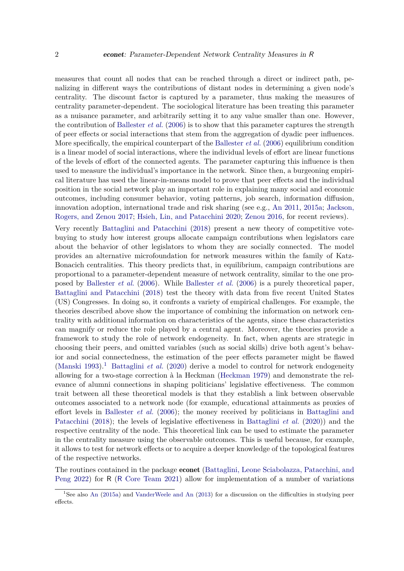measures that count all nodes that can be reached through a direct or indirect path, penalizing in different ways the contributions of distant nodes in determining a given node's centrality. The discount factor is captured by a parameter, thus making the measures of centrality parameter-dependent. The sociological literature has been treating this parameter as a nuisance parameter, and arbitrarily setting it to any value smaller than one. However, the contribution of [Ballester](#page-26-2) *et al.* [\(2006\)](#page-26-2) is to show that this parameter captures the strength of peer effects or social interactions that stem from the aggregation of dyadic peer influences. More specifically, the empirical counterpart of the [Ballester](#page-26-2) *et al.* [\(2006\)](#page-26-2) equilibrium condition is a linear model of social interactions, where the individual levels of effort are linear functions of the levels of effort of the connected agents. The parameter capturing this influence is then used to measure the individual's importance in the network. Since then, a burgeoning empirical literature has used the linear-in-means model to prove that peer effects and the individual position in the social network play an important role in explaining many social and economic outcomes, including consumer behavior, voting patterns, job search, information diffusion, innovation adoption, international trade and risk sharing (see e.g., [An](#page-25-0) [2011,](#page-25-0) [2015a;](#page-25-1) [Jackson,](#page-27-1) [Rogers, and Zenou](#page-27-1) [2017;](#page-27-1) [Hsieh, Lin, and Patacchini](#page-27-2) [2020;](#page-27-2) [Zenou](#page-29-0) [2016,](#page-29-0) for recent reviews).

Very recently [Battaglini and Patacchini](#page-26-0) [\(2018\)](#page-26-0) present a new theory of competitive votebuying to study how interest groups allocate campaign contributions when legislators care about the behavior of other legislators to whom they are socially connected. The model provides an alternative microfoundation for network measures within the family of Katz-Bonacich centralities. This theory predicts that, in equilibrium, campaign contributions are proportional to a parameter-dependent measure of network centrality, similar to the one proposed by [Ballester](#page-26-2) *et al.* [\(2006\)](#page-26-2). While [Ballester](#page-26-2) *et al.* [\(2006\)](#page-26-2) is a purely theoretical paper, [Battaglini and Patacchini](#page-26-0) [\(2018\)](#page-26-0) test the theory with data from five recent United States (US) Congresses. In doing so, it confronts a variety of empirical challenges. For example, the theories described above show the importance of combining the information on network centrality with additional information on characteristics of the agents, since these characteristics can magnify or reduce the role played by a central agent. Moreover, the theories provide a framework to study the role of network endogeneity. In fact, when agents are strategic in choosing their peers, and omitted variables (such as social skills) drive both agent's behavior and social connectedness, the estimation of the peer effects parameter might be flawed [\(Manski](#page-28-0) [1993\)](#page-28-0).<sup>[1](#page-1-0)</sup> [Battaglini](#page-26-1) *et al.* [\(2020\)](#page-26-1) derive a model to control for network endogeneity allowing for a two-stage correction à la Heckman [\(Heckman](#page-27-3) [1979\)](#page-27-3) and demonstrate the relevance of alumni connections in shaping politicians' legislative effectiveness. The common trait between all these theoretical models is that they establish a link between observable outcomes associated to a network node (for example, educational attainments as proxies of effort levels in [Ballester](#page-26-2) *et al.* [\(2006\)](#page-26-2); the money received by politicians in [Battaglini and](#page-26-0) [Patacchini](#page-26-0) [\(2018\)](#page-26-0); the levels of legislative effectiveness in [Battaglini](#page-26-1) *et al.* [\(2020\)](#page-26-1)) and the respective centrality of the node. This theoretical link can be used to estimate the parameter in the centrality measure using the observable outcomes. This is useful because, for example, it allows to test for network effects or to acquire a deeper knowledge of the topological features of the respective networks.

The routines contained in the package econet [\(Battaglini, Leone Sciabolazza, Patacchini, and](#page-26-5) [Peng](#page-26-5) [2022\)](#page-26-5) for R (R [Core Team](#page-28-1) [2021\)](#page-28-1) allow for implementation of a number of variations

<span id="page-1-0"></span><sup>&</sup>lt;sup>1</sup>See also [An](#page-25-1) [\(2015a\)](#page-25-1) and [VanderWeele and An](#page-29-1) [\(2013\)](#page-29-1) for a discussion on the difficulties in studying peer effects.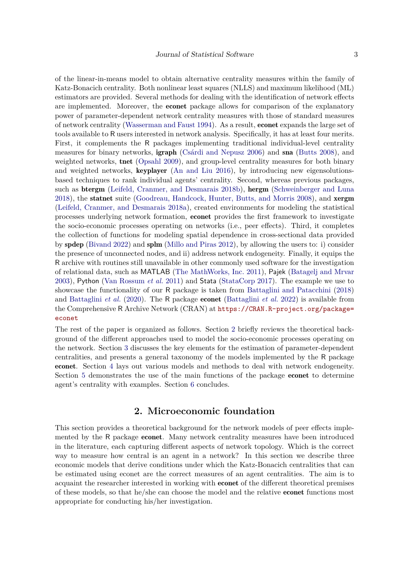of the linear-in-means model to obtain alternative centrality measures within the family of Katz-Bonacich centrality. Both nonlinear least squares (NLLS) and maximum likelihood (ML) estimators are provided. Several methods for dealing with the identification of network effects are implemented. Moreover, the econet package allows for comparison of the explanatory power of parameter-dependent network centrality measures with those of standard measures of network centrality [\(Wasserman and Faust](#page-29-2) [1994\)](#page-29-2). As a result, econet expands the large set of tools available to R users interested in network analysis. Specifically, it has at least four merits. First, it complements the R packages implementing traditional individual-level centrality measures for binary networks, igraph [\(Csárdi and Nepusz](#page-26-6) [2006\)](#page-26-6) and sna [\(Butts](#page-26-7) [2008\)](#page-26-7), and weighted networks, tnet [\(Opsahl](#page-28-2) [2009\)](#page-28-2), and group-level centrality measures for both binary and weighted networks, keyplayer [\(An and Liu](#page-25-2) [2016\)](#page-25-2), by introducing new eigensolutionsbased techniques to rank individual agents' centrality. Second, whereas previous packages, such as **btergm** [\(Leifeld, Cranmer, and Desmarais](#page-28-3) [2018b\)](#page-28-3), **hergm** [\(Schweinberger and Luna](#page-28-4) [2018\)](#page-28-4), the statnet suite [\(Goodreau, Handcock, Hunter, Butts, and Morris](#page-27-4) [2008\)](#page-27-4), and xergm [\(Leifeld, Cranmer, and Desmarais](#page-28-5) [2018a\)](#page-28-5), created environments for modeling the statistical processes underlying network formation, econet provides the first framework to investigate the socio-economic processes operating on networks (i.e., peer effects). Third, it completes the collection of functions for modeling spatial dependence in cross-sectional data provided by spdep [\(Bivand](#page-26-8) [2022\)](#page-26-8) and splm [\(Millo and Piras](#page-28-6) [2012\)](#page-28-6), by allowing the users to: i) consider the presence of unconnected nodes, and ii) address network endogeneity. Finally, it equips the R archive with routines still unavailable in other commonly used software for the investigation of relational data, such as MATLAB [\(The MathWorks, Inc.](#page-28-7) [2011\)](#page-28-7), Pajek [\(Batagelj and Mrvar](#page-26-9) [2003\)](#page-26-9), Python [\(Van Rossum](#page-28-8) *et al.* [2011\)](#page-28-8) and Stata [\(StataCorp](#page-28-9) [2017\)](#page-28-9). The example we use to showcase the functionality of our R package is taken from [Battaglini and Patacchini](#page-26-0) [\(2018\)](#page-26-0) and [Battaglini](#page-26-1) *et al.* [\(2020\)](#page-26-1). The R package econet [\(Battaglini](#page-26-5) *et al.* [2022\)](#page-26-5) is available from the Comprehensive R Archive Network (CRAN) at [https://CRAN.R-project.org/package=](https://CRAN.R-project.org/package=econet) [econet](https://CRAN.R-project.org/package=econet)

The rest of the paper is organized as follows. Section [2](#page-2-0) briefly reviews the theoretical background of the different approaches used to model the socio-economic processes operating on the network. Section [3](#page-8-0) discusses the key elements for the estimation of parameter-dependent centralities, and presents a general taxonomy of the models implemented by the R package econet. Section [4](#page-11-0) lays out various models and methods to deal with network endogeneity. Section [5](#page-13-0) demonstrates the use of the main functions of the package econet to determine agent's centrality with examples. Section [6](#page-25-3) concludes.

# **2. Microeconomic foundation**

<span id="page-2-0"></span>This section provides a theoretical background for the network models of peer effects implemented by the R package econet. Many network centrality measures have been introduced in the literature, each capturing different aspects of network topology. Which is the correct way to measure how central is an agent in a network? In this section we describe three economic models that derive conditions under which the Katz-Bonacich centralities that can be estimated using econet are the correct measures of an agent centralities. The aim is to acquaint the researcher interested in working with econet of the different theoretical premises of these models, so that he/she can choose the model and the relative econet functions most appropriate for conducting his/her investigation.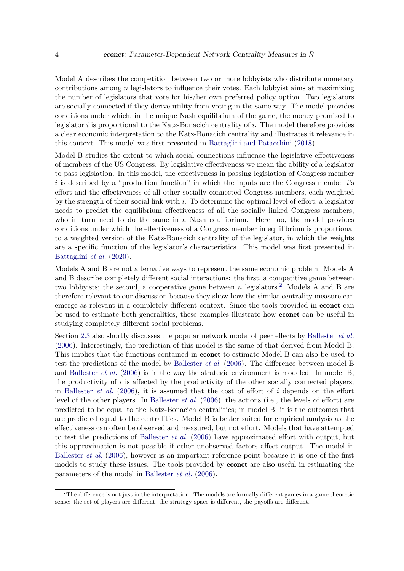Model A describes the competition between two or more lobbyists who distribute monetary contributions among *n* legislators to influence their votes. Each lobbyist aims at maximizing the number of legislators that vote for his/her own preferred policy option. Two legislators are socially connected if they derive utility from voting in the same way. The model provides conditions under which, in the unique Nash equilibrium of the game, the money promised to legislator *i* is proportional to the Katz-Bonacich centrality of *i*. The model therefore provides a clear economic interpretation to the Katz-Bonacich centrality and illustrates it relevance in this context. This model was first presented in [Battaglini and Patacchini](#page-26-0) [\(2018\)](#page-26-0).

Model B studies the extent to which social connections influence the legislative effectiveness of members of the US Congress. By legislative effectiveness we mean the ability of a legislator to pass legislation. In this model, the effectiveness in passing legislation of Congress member *i* is described by a "production function" in which the inputs are the Congress member *i*'s effort and the effectiveness of all other socially connected Congress members, each weighted by the strength of their social link with *i*. To determine the optimal level of effort, a legislator needs to predict the equilibrium effectiveness of all the socially linked Congress members, who in turn need to do the same in a Nash equilibrium. Here too, the model provides conditions under which the effectiveness of a Congress member in equilibrium is proportional to a weighted version of the Katz-Bonacich centrality of the legislator, in which the weights are a specific function of the legislator's characteristics. This model was first presented in [Battaglini](#page-26-1) *et al.* [\(2020\)](#page-26-1).

Models A and B are not alternative ways to represent the same economic problem. Models A and B describe completely different social interactions: the first, a competitive game between two lobbyists; the second, a cooperative game between  $n$  legislators.<sup>[2](#page-3-0)</sup> Models A and B are therefore relevant to our discussion because they show how the similar centrality measure can emerge as relevant in a completely different context. Since the tools provided in econet can be used to estimate both generalities, these examples illustrate how econet can be useful in studying completely different social problems.

Section [2.3](#page-7-0) also shortly discusses the popular network model of peer effects by [Ballester](#page-26-2) *et al.* [\(2006\)](#page-26-2). Interestingly, the prediction of this model is the same of that derived from Model B. This implies that the functions contained in econet to estimate Model B can also be used to test the predictions of the model by [Ballester](#page-26-2) *et al.* [\(2006\)](#page-26-2). The difference between model B and [Ballester](#page-26-2) *et al.* [\(2006\)](#page-26-2) is in the way the strategic environment is modeled. In model B, the productivity of *i* is affected by the productivity of the other socially connected players; in [Ballester](#page-26-2) *et al.* [\(2006\)](#page-26-2), it is assumed that the cost of effort of *i* depends on the effort level of the other players. In [Ballester](#page-26-2) *et al.* [\(2006\)](#page-26-2), the actions (i.e., the levels of effort) are predicted to be equal to the Katz-Bonacich centralities; in model B, it is the outcomes that are predicted equal to the centralities. Model B is better suited for empirical analysis as the effectiveness can often be observed and measured, but not effort. Models that have attempted to test the predictions of [Ballester](#page-26-2) *et al.* [\(2006\)](#page-26-2) have approximated effort with output, but this approximation is not possible if other unobserved factors affect output. The model in [Ballester](#page-26-2) *et al.* [\(2006\)](#page-26-2), however is an important reference point because it is one of the first models to study these issues. The tools provided by econet are also useful in estimating the parameters of the model in [Ballester](#page-26-2) *et al.* [\(2006\)](#page-26-2).

<span id="page-3-0"></span><sup>&</sup>lt;sup>2</sup>The difference is not just in the interpretation. The models are formally different games in a game theoretic sense: the set of players are different, the strategy space is different, the payoffs are different.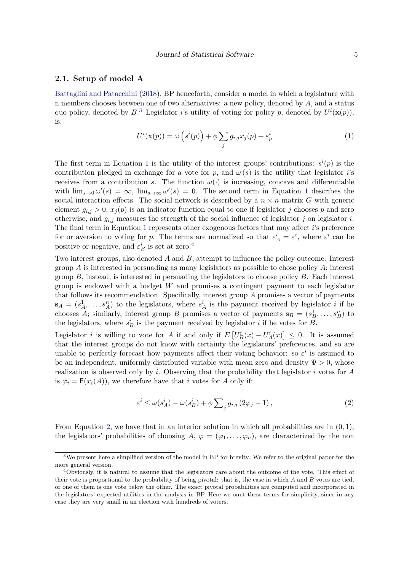# **2.1. Setup of model A**

[Battaglini and Patacchini](#page-26-0) [\(2018\)](#page-26-0), BP henceforth, consider a model in which a legislature with n members chooses between one of two alternatives: a new policy, denoted by *A*, and a status quo policy, denoted by  $B$ <sup>[3](#page-4-0)</sup>. Legislator *i*'s utility of voting for policy *p*, denoted by  $U^i(\mathbf{x}(p))$ , is:

<span id="page-4-1"></span>
$$
U^{i}(\mathbf{x}(p)) = \omega\left(s^{i}(p)\right) + \phi \sum_{j} g_{i,j} x_{j}(p) + \varepsilon_{p}^{i}
$$
\n(1)

The first term in Equation [1](#page-4-1) is the utility of the interest groups' contributions:  $s^i(p)$  is the contribution pledged in exchange for a vote for p, and  $\omega(s)$  is the utility that legislator *i*'s receives from a contribution *s*. The function  $\omega(\cdot)$  is increasing, concave and differentiable with  $\lim_{s\to 0} \omega'(s) = \infty$ ,  $\lim_{s\to\infty} \omega'(s) = 0$ . The second term in Equation [1](#page-4-1) describes the social interaction effects. The social network is described by a  $n \times n$  matrix *G* with generic element  $g_{i,j} > 0$ ,  $x_j(p)$  is an indicator function equal to one if legislator *j* chooses *p* and zero otherwise, and  $g_{i,j}$  measures the strength of the social influence of legislator *j* on legislator *i*. The final term in Equation [1](#page-4-1) represents other exogenous factors that may affect *i*'s preference for or aversion to voting for *p*. The terms are normalized so that  $\varepsilon_A^i = \varepsilon^i$ , where  $\varepsilon^i$  can be positive or negative, and  $\varepsilon_B^i$  is set at zero.<sup>[4](#page-4-2)</sup>

Two interest groups, also denoted *A* and *B*, attempt to influence the policy outcome. Interest group *A* is interested in persuading as many legislators as possible to chose policy *A*; interest group *B*, instead, is interested in persuading the legislators to choose policy *B*. Each interest group is endowed with a budget *W* and promises a contingent payment to each legislator that follows its recommendation. Specifically, interest group *A* promises a vector of payments  $\mathbf{s}_A = (s_A^1, \ldots, s_A^n)$  to the legislators, where  $s_A^i$  is the payment received by legislator *i* if he chooses *A*; similarly, interest group *B* promises a vector of payments  $\mathbf{s}_B = (s_B^1, \ldots, s_B^n)$  to the legislators, where  $s_B^i$  is the payment received by legislator *i* if he votes for *B*.

Legislator *i* is willing to vote for *A* if and only if  $E[V_B^i(x) - U_A^i(x)] \leq 0$ . It is assumed that the interest groups do not know with certainty the legislators' preferences, and so are unable to perfectly forecast how payments affect their voting behavior: so  $\varepsilon^i$  is assumed to be an independent, uniformly distributed variable with mean zero and density  $\Psi > 0$ , whose realization is observed only by *i*. Observing that the probability that legislator *i* votes for *A* is  $\varphi_i = \mathsf{E}(x_i(A))$ , we therefore have that *i* votes for *A* only if:

<span id="page-4-3"></span>
$$
\varepsilon^{i} \le \omega(s_A^i) - \omega(s_B^i) + \phi \sum_{j} g_{i,j} (2\varphi_j - 1), \qquad (2)
$$

From Equation [2,](#page-4-3) we have that in an interior solution in which all probabilities are in (0*,* 1), the legislators' probabilities of choosing  $A, \varphi = (\varphi_1, \ldots, \varphi_n)$ , are characterized by the non

<span id="page-4-0"></span><sup>3</sup>We present here a simplified version of the model in BP for brevity. We refer to the original paper for the more general version.

<span id="page-4-2"></span><sup>4</sup>Obviously, it is natural to assume that the legislators care about the outcome of the vote. This effect of their vote is proportional to the probability of being pivotal: that is, the case in which *A* and *B* votes are tied, or one of them is one vote below the other. The exact pivotal probabilities are computed and incorporated in the legislators' expected utilities in the analysis in BP. Here we omit these terms for simplicity, since in any case they are very small in an election with hundreds of voters.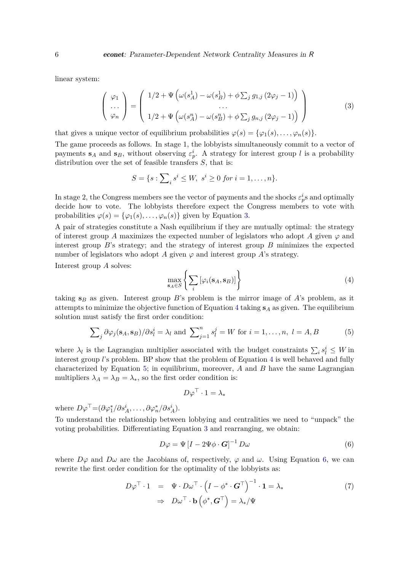linear system:

<span id="page-5-0"></span>
$$
\begin{pmatrix}\n\varphi_1 \\
\cdots \\
\varphi_n\n\end{pmatrix} = \begin{pmatrix}\n1/2 + \Psi\left(\omega(s_A^1) - \omega(s_B^1) + \phi \sum_j g_{1,j} (2\varphi_j - 1)\right) \\
\cdots \\
1/2 + \Psi\left(\omega(s_A^n) - \omega(s_B^n) + \phi \sum_j g_{n,j} (2\varphi_j - 1)\right)\n\end{pmatrix}
$$
\n(3)

that gives a unique vector of equilibrium probabilities  $\varphi(s) = {\varphi_1(s), \ldots, \varphi_n(s)}$ .

The game proceeds as follows. In stage 1, the lobbyists simultaneously commit to a vector of payments  $\mathbf{s}_A$  and  $\mathbf{s}_B$ , without observing  $\varepsilon_p^i$ . A strategy for interest group *l* is a probability distribution over the set of feasible transfers *S*, that is:

$$
S = \{ s : \sum_{i} s^{i} \leq W, \ s^{i} \geq 0 \ for \ i = 1, \dots, n \}.
$$

In stage 2, the Congress members see the vector of payments and the shocks  $\varepsilon_p^i$ s and optimally decide how to vote. The lobbyists therefore expect the Congress members to vote with probabilities  $\varphi(s) = {\varphi_1(s), \ldots, \varphi_n(s)}$  given by Equation [3.](#page-5-0)

A pair of strategies constitute a Nash equilibrium if they are mutually optimal: the strategy of interest group *A* maximizes the expected number of legislators who adopt *A* given  $\varphi$  and interest group *B*'s strategy; and the strategy of interest group *B* minimizes the expected number of legislators who adopt *A* given  $\varphi$  and interest group *A*'s strategy.

Interest group *A* solves:

<span id="page-5-1"></span>
$$
\max_{\mathbf{s}_A \in S} \left\{ \sum_i \left[ \varphi_i(\mathbf{s}_A, \mathbf{s}_B) \right] \right\} \tag{4}
$$

taking  $s_B$  as given. Interest group  $B$ 's problem is the mirror image of  $A$ 's problem, as it attempts to minimize the objective function of Equation [4](#page-5-1) taking **s***<sup>A</sup>* as given. The equilibrium solution must satisfy the first order condition:

<span id="page-5-2"></span>
$$
\sum_{j} \partial \varphi_j(\mathbf{s}_A, \mathbf{s}_B) / \partial s_l^i = \lambda_l \text{ and } \sum_{j=1}^n s_l^j = W \text{ for } i = 1, \dots, n, l = A, B
$$
 (5)

where  $\lambda_l$  is the Lagrangian multiplier associated with the budget constraints  $\sum_i s_l^i \leq W$  in interest group *l*'s problem. BP show that the problem of Equation [4](#page-5-1) is well behaved and fully characterized by Equation [5;](#page-5-2) in equilibrium, moreover, *A* and *B* have the same Lagrangian multipliers  $\lambda_A = \lambda_B = \lambda_*$ , so the first order condition is:

$$
D\varphi^\top\cdot 1=\lambda_*
$$

where  $D\varphi^{\top} = (\partial \varphi_1^* / \partial s_A^i, \dots, \partial \varphi_n^* / \partial s_A^i).$ 

To understand the relationship between lobbying and centralities we need to "unpack" the voting probabilities. Differentiating Equation [3](#page-5-0) and rearranging, we obtain:

<span id="page-5-3"></span>
$$
D\varphi = \Psi \left[ I - 2\Psi \phi \cdot \mathbf{G} \right]^{-1} D\omega \tag{6}
$$

where  $D\varphi$  and  $D\omega$  are the Jacobians of, respectively,  $\varphi$  and  $\omega$ . Using Equation [6,](#page-5-3) we can rewrite the first order condition for the optimality of the lobbyists as:

<span id="page-5-4"></span>
$$
D\varphi^{\top} \cdot 1 = \Psi \cdot D\omega^{\top} \cdot \left(I - \phi^* \cdot \mathbf{G}^{\top}\right)^{-1} \cdot 1 = \lambda_*
$$
  
\n
$$
\Rightarrow D\omega^{\top} \cdot \mathbf{b}\left(\phi^*, \mathbf{G}^{\top}\right) = \lambda_*/\Psi
$$
\n(7)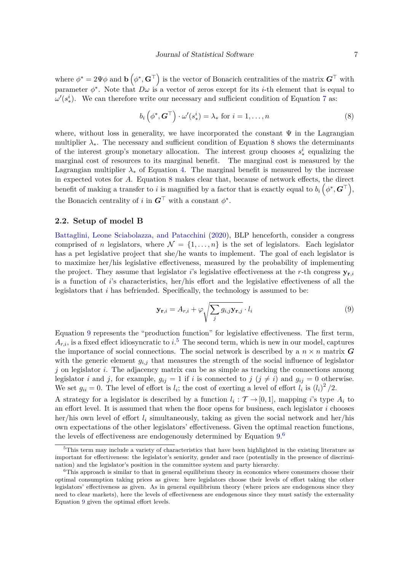where  $\phi^* = 2\Psi\phi$  and  $\mathbf{b}(\phi^*, \mathbf{G}^\top)$  is the vector of Bonacich centralities of the matrix  $\mathbf{G}^\top$  with parameter  $\phi^*$ . Note that  $D\omega$  is a vector of zeros except for its *i*-th element that is equal to  $\omega'(s^i_*)$ . We can therefore write our necessary and sufficient condition of Equation [7](#page-5-4) as:

<span id="page-6-0"></span>
$$
b_i\left(\phi^*,\mathbf{G}^{\top}\right)\cdot\omega'(s_*^i) = \lambda_* \text{ for } i = 1,\ldots,n
$$
 (8)

where, without loss in generality, we have incorporated the constant  $\Psi$  in the Lagrangian multiplier  $\lambda_*$ . The necessary and sufficient condition of Equation [8](#page-6-0) shows the determinants of the interest group's monetary allocation. The interest group chooses  $s^i_*$  equalizing the marginal cost of resources to its marginal benefit. The marginal cost is measured by the Lagrangian multiplier  $\lambda_*$  of Equation [4.](#page-5-1) The marginal benefit is measured by the increase in expected votes for *A*. Equation [8](#page-6-0) makes clear that, because of network effects, the direct benefit of making a transfer to *i* is magnified by a factor that is exactly equal to  $b_i\left(\phi^*, \mathbf{G}^\top\right)$ , the Bonacich centrality of *i* in  $G^{\top}$  with a constant  $\phi^*$ .

# **2.2. Setup of model B**

[Battaglini, Leone Sciabolazza, and Patacchini](#page-26-1) [\(2020\)](#page-26-1), BLP henceforth, consider a congress comprised of *n* legislators, where  $\mathcal{N} = \{1, \ldots, n\}$  is the set of legislators. Each legislator has a pet legislative project that she/he wants to implement. The goal of each legislator is to maximize her/his legislative effectiveness, measured by the probability of implementing the project. They assume that legislator *i*'s legislative effectiveness at the *r*-th congress  $y_{r,i}$ is a function of *i*'s characteristics, her/his effort and the legislative effectiveness of all the legislators that *i* has befriended. Specifically, the technology is assumed to be:

<span id="page-6-1"></span>
$$
\mathbf{y}_{\mathbf{r},i} = A_{r,i} + \varphi \sqrt{\sum_{j} g_{i,j} \mathbf{y}_{\mathbf{r},j}} \cdot l_i
$$
 (9)

Equation [9](#page-6-1) represents the "production function" for legislative effectiveness. The first term,  $A_{r,i}$ , is a fixed effect idiosyncratic to  $i$ <sup>[5](#page-6-2)</sup>. The second term, which is new in our model, captures the importance of social connections. The social network is described by a  $n \times n$  matrix  $\boldsymbol{G}$ with the generic element  $g_{i,j}$  that measures the strength of the social influence of legislator *j* on legislator *i*. The adjacency matrix can be as simple as tracking the connections among legislator *i* and *j*, for example,  $g_{ij} = 1$  if *i* is connected to  $j$  ( $j \neq i$ ) and  $g_{ij} = 0$  otherwise. We set  $g_{ii} = 0$ . The level of effort is  $l_i$ ; the cost of exerting a level of effort  $l_i$  is  $(l_i)^2/2$ .

A strategy for a legislator is described by a function  $l_i : \mathcal{T} \to [0,1]$ , mapping *i*'s type  $A_i$  to an effort level. It is assumed that when the floor opens for business, each legislator *i* chooses her/his own level of effort  $l_i$  simultaneously, taking as given the social network and her/his own expectations of the other legislators' effectiveness. Given the optimal reaction functions, the levels of effectiveness are endogenously determined by Equation  $9<sup>6</sup>$  $9<sup>6</sup>$  $9<sup>6</sup>$ 

<span id="page-6-2"></span><sup>5</sup>This term may include a variety of characteristics that have been highlighted in the existing literature as important for effectiveness: the legislator's seniority, gender and race (potentially in the presence of discrimination) and the legislator's position in the committee system and party hierarchy.

<span id="page-6-3"></span><sup>&</sup>lt;sup>6</sup>This approach is similar to that in general equilibrium theory in economics where consumers choose their optimal consumption taking prices as given: here legislators choose their levels of effort taking the other legislators' effectiveness as given. As in general equilibrium theory (where prices are endogenous since they need to clear markets), here the levels of effectiveness are endogenous since they must satisfy the externality Equation [9](#page-6-1) given the optimal effort levels.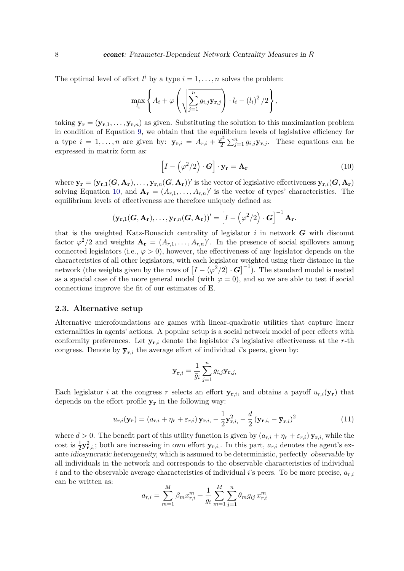The optimal level of effort  $l^i$  by a type  $i = 1, \ldots, n$  solves the problem:

$$
\max_{l_i} \left\{ A_i + \varphi \left( \sqrt{\sum_{j=1}^n g_{i,j} \mathbf{y}_{\mathbf{r},j}} \right) \cdot l_i - (l_i)^2 / 2 \right\},\,
$$

taking  $\mathbf{y}_r = (\mathbf{y}_{r,1}, \dots, \mathbf{y}_{r,n})$  as given. Substituting the solution to this maximization problem in condition of Equation [9,](#page-6-1) we obtain that the equilibrium levels of legislative efficiency for a type  $i = 1, ..., n$  are given by:  $y_{r,i} = A_{r,i} + \frac{\varphi^2}{2}$  $\frac{\rho^2}{2} \sum_{j=1}^n g_{i,j} \mathbf{y}_{\mathbf{r},j}$ . These equations can be expressed in matrix form as:

<span id="page-7-1"></span>
$$
\[I - \left(\varphi^2/2\right) \cdot \mathbf{G}\] \cdot \mathbf{y_r} = \mathbf{A_r} \tag{10}
$$

where  $\mathbf{y_r} = (\mathbf{y_{r,1}}(\mathbf{G}, \mathbf{A_r}), \dots, \mathbf{y_{r,n}}(\mathbf{G}, \mathbf{A_r}))'$  is the vector of legislative effectiveness  $\mathbf{y_{r,i}}(\mathbf{G}, \mathbf{A_r})$ solving Equation [10,](#page-7-1) and  $\mathbf{A}_r = (A_{r,1}, \ldots, A_{r,n})'$  is the vector of types' characteristics. The equilibrium levels of effectiveness are therefore uniquely defined as:

$$
(\mathbf{y}_{\mathbf{r},1}(\mathbf{G},\mathbf{A}_{\mathbf{r}}),\ldots,\mathbf{y}_{\mathbf{r},n}(\mathbf{G},\mathbf{A}_{\mathbf{r}}))'=\left[I-\left(\varphi^2/2\right)\cdot\mathbf{G}\right]^{-1}\mathbf{A}_{\mathbf{r}}.
$$

that is the weighted Katz-Bonacich centrality of legislator *i* in network *G* with discount factor  $\varphi^2/2$  and weights  $\mathbf{A}_r = (A_{r,1}, \ldots, A_{r,n})'$ . In the presence of social spillovers among connected legislators (i.e.,  $\varphi > 0$ ), however, the effectiveness of any legislator depends on the characteristics of all other legislators, with each legislator weighted using their distance in the network (the weights given by the rows of  $[I - (\varphi^2/2) \cdot G]^{-1}$ ). The standard model is nested as a special case of the more general model (with  $\varphi = 0$ ), and so we are able to test if social connections improve the fit of our estimates of **E**.

#### <span id="page-7-0"></span>**2.3. Alternative setup**

Alternative microfoundations are games with linear-quadratic utilities that capture linear externalities in agents' actions. A popular setup is a social network model of peer effects with conformity preferences. Let  $\mathbf{y}_{\mathbf{r},i}$  denote the legislator *i*'s legislative effectiveness at the *r*-th congress. Denote by  $\overline{\mathbf{y}}_{\mathbf{r},i}$  the average effort of individual *i*'s peers, given by:

$$
\overline{\mathbf{y}}_{\mathbf{r},i} = \frac{1}{\bar{g}_i} \sum_{j=1}^n g_{i,j} \mathbf{y}_{\mathbf{r},j},
$$

Each legislator *i* at the congress *r* selects an effort  $y_{r,i}$ , and obtains a payoff  $u_{r,i}(y_r)$  that depends on the effort profile **y<sup>r</sup>** in the following way:

<span id="page-7-2"></span>
$$
u_{r,i}(\mathbf{y_r}) = (a_{r,i} + \eta_r + \varepsilon_{r,i}) \mathbf{y_{r,i}} - \frac{1}{2} \mathbf{y_{r,i}^2} - \frac{d}{2} (\mathbf{y_{r,i}} - \overline{\mathbf{y_{r,i}}})^2
$$
(11)

where  $d > 0$ . The benefit part of this utility function is given by  $(a_{r,i} + \eta_r + \varepsilon_{r,i}) \mathbf{y}_{r,i}$ , while the cost is  $\frac{1}{2}\mathbf{y}_{\mathbf{r},i}^2$ ; both are increasing in own effort  $\mathbf{y}_{\mathbf{r},i}$ . In this part,  $a_{r,i}$  denotes the agent's exante idiosyncratic heterogeneity, which is assumed to be deterministic, perfectly observable by all individuals in the network and corresponds to the observable characteristics of individual  $i$  and to the observable average characteristics of individual  $i$ 's peers. To be more precise,  $a_{r,i}$ can be written as:

$$
a_{r,i} = \sum_{m=1}^{M} \beta_m x_{r,i}^m + \frac{1}{\bar{g}_i} \sum_{m=1}^{M} \sum_{j=1}^{n} \theta_m g_{ij} x_{r,i}^m
$$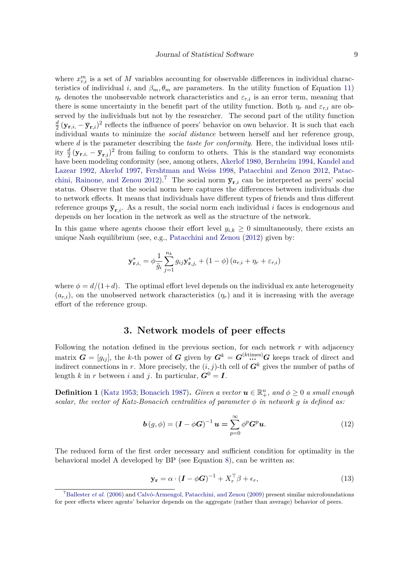where  $x_{r,i}^m$  is a set of *M* variables accounting for observable differences in individual characteristics of individual *i*, and  $\beta_m$ ,  $\theta_m$  are parameters. In the utility function of Equation [11\)](#page-7-2)  $\eta_r$  denotes the unobservable network characteristics and  $\varepsilon_{r,i}$  is an error term, meaning that there is some uncertainty in the benefit part of the utility function. Both  $\eta_r$  and  $\varepsilon_{r,i}$  are observed by the individuals but not by the researcher. The second part of the utility function *d*  $\frac{d}{2}(\mathbf{y}_{\mathbf{r},i} - \overline{\mathbf{y}}_{\mathbf{r},i})^2$  reflects the influence of peers' behavior on own behavior. It is such that each individual wants to minimize the *social distance* between herself and her reference group, where *d* is the parameter describing the *taste for conformity*. Here, the individual loses utility  $\frac{d}{2}(\mathbf{y}_{\mathbf{r},i}, -\overline{\mathbf{y}}_{\mathbf{r},i})^2$  from failing to conform to others. This is the standard way economists have been modeling conformity (see, among others, [Akerlof](#page-25-4) [1980,](#page-25-4) [Bernheim](#page-26-10) [1994,](#page-26-10) [Kandel and](#page-27-5) [Lazear](#page-27-5) [1992,](#page-27-5) [Akerlof](#page-25-5) [1997,](#page-25-5) [Fershtman and Weiss](#page-27-6) [1998,](#page-27-6) [Patacchini and Zenou](#page-28-10) [2012,](#page-28-10) [Patac](#page-28-11)[chini, Rainone, and Zenou](#page-28-11) [2012\)](#page-28-11).<sup>[7](#page-8-1)</sup> The social norm  $\bar{y}_{r,i}$  can be interpreted as peers' social status. Observe that the social norm here captures the differences between individuals due to network effects. It means that individuals have different types of friends and thus different reference groups  $\bar{\mathbf{y}}_{r,i}$ . As a result, the social norm each individual *i* faces is endogenous and depends on her location in the network as well as the structure of the network.

In this game where agents choose their effort level  $y_{i,k} \geq 0$  simultaneously, there exists an unique Nash equilibrium (see, e.g., [Patacchini and Zenou](#page-28-10) [\(2012\)](#page-28-10) given by:

$$
\mathbf{y}_{\mathbf{r},i,}^{*} = \phi \frac{1}{\bar{g}_i} \sum_{j=1}^{n_k} g_{ij} \mathbf{y}_{\mathbf{r},j,}^{*} + (1 - \phi) (a_{r,i} + \eta_r + \varepsilon_{r,i})
$$

where  $\phi = d/(1+d)$ . The optimal effort level depends on the individual ex ante heterogeneity  $(a_{r,i})$ , on the unobserved network characteristics  $(\eta_r)$  and it is increasing with the average effort of the reference group.

# **3. Network models of peer effects**

<span id="page-8-0"></span>Following the notation defined in the previous section, for each network  $r$  with adjacency matrix  $G = [g_{ij}]$ , the *k*-th power of *G* given by  $G^k = G^{(k \text{times})}$  *G* keeps track of direct and indirect connections in *r*. More precisely, the  $(i, j)$ -th cell of  $G<sup>k</sup>$  gives the number of paths of length *k* in *r* between *i* and *j*. In particular,  $G^0 = I$ .

**Definition 1** [\(Katz](#page-27-0) [1953;](#page-27-0) [Bonacich](#page-26-4) [1987\)](#page-26-4). *Given a vector*  $u \in \mathbb{R}_+^n$ , and  $\phi \geq 0$  *a small enough scalar, the vector of Katz-Bonacich centralities of parameter*  $\phi$  *in network*  $g$  *is defined as:* 

<span id="page-8-3"></span>
$$
\boldsymbol{b}(g,\phi) = (\boldsymbol{I} - \phi \boldsymbol{G})^{-1} \boldsymbol{u} = \sum_{p=0}^{\infty} \phi^p \boldsymbol{G}^p \boldsymbol{u}.
$$
 (12)

The reduced form of the first order necessary and sufficient condition for optimality in the behavioral model A developed by BP (see Equation [8\)](#page-6-0), can be written as:

<span id="page-8-2"></span>
$$
\mathbf{y_r} = \alpha \cdot (\mathbf{I} - \phi \mathbf{G})^{-1} + X_r^\top \beta + \epsilon_r,\tag{13}
$$

<span id="page-8-1"></span><sup>7</sup>[Ballester](#page-26-2) *et al.* [\(2006\)](#page-26-2) and [Calvó-Armengol, Patacchini, and Zenou](#page-26-11) [\(2009\)](#page-26-11) present similar microfoundations for peer effects where agents' behavior depends on the aggregate (rather than average) behavior of peers.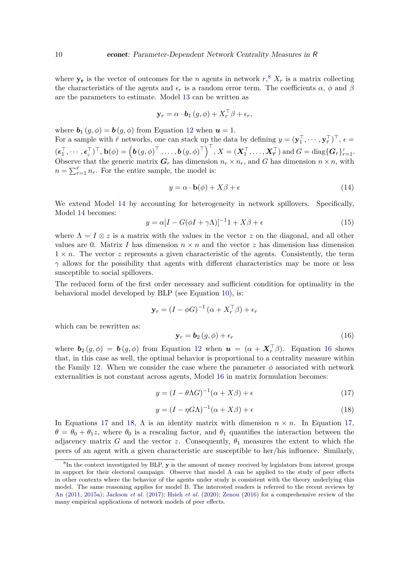where  $y_r$  is the vector of outcomes for the *n* agents in network  $r$ <sup>[8](#page-9-0)</sup>,  $X_r$  is a matrix collecting the characteristics of the agents and  $\epsilon_r$  is a random error term. The coefficients  $\alpha$ ,  $\phi$  and  $\beta$ are the parameters to estimate. Model [13](#page-8-2) can be written as

$$
\mathbf{y}_r = \alpha \cdot \mathbf{b}_1 \left( g, \phi \right) + X_r^\top \beta + \epsilon_r,
$$

where  $\mathbf{b}_1(g, \phi) = \mathbf{b}(g, \phi)$  from Equation [12](#page-8-3) when  $\mathbf{u} = 1$ .

For a sample with  $\bar{r}$  networks, one can stack up the data by defining  $y = (\mathbf{y}_1^\top, \dots, \mathbf{y}_{\bar{r}}^\top)^\top, \epsilon =$  $(\boldsymbol{\epsilon}_1^\top,\cdots,\boldsymbol{\epsilon}_\bar{r})^\top,\mathbf{b}(\phi)=\left(\boldsymbol{b}\left(g,\phi\right)^\top,\ldots,\boldsymbol{b}\left(g,\phi\right)^\top\right)^\top\!, X=(\boldsymbol{X}_1^\top,\ldots,\boldsymbol{X}_\bar{r}^\top)\text{ and }G=\text{diag}\{\boldsymbol{G}_r\}_{r=1}^{\bar{r}}.$ Observe that the generic matrix  $G_r$  has dimension  $n_r \times n_r$ , and *G* has dimension  $n \times n$ , with  $n = \sum_{r=1}^{\bar{r}} n_r$ . For the entire sample, the model is:

<span id="page-9-1"></span>
$$
y = \alpha \cdot \mathbf{b}(\phi) + X\beta + \epsilon \tag{14}
$$

We extend Model [14](#page-9-1) by accounting for heterogeneity in network spillovers. Specifically, Model [14](#page-9-1) becomes:

<span id="page-9-5"></span>
$$
y = \alpha [I - G(\phi I + \gamma \Lambda)]^{-1} 1 + X\beta + \epsilon
$$
\n(15)

where  $\Lambda = I \otimes z$  is a matrix with the values in the vector *z* on the diagonal, and all other values are 0. Matrix *I* has dimension  $n \times n$  and the vector *z* has dimension has dimension  $1 \times n$ . The vector *z* represents a given characteristic of the agents. Consistently, the term  $\gamma$  allows for the possibility that agents with different characteristics may be more or less susceptible to social spillovers.

The reduced form of the first order necessary and sufficient condition for optimality in the behavioral model developed by BLP (see Equation [10\)](#page-7-1), is:

$$
\mathbf{y}_r = (I - \phi G)^{-1} (\alpha + X_r^\top \beta) + \epsilon_r
$$

which can be rewritten as:

<span id="page-9-2"></span>
$$
\mathbf{y}_r = \mathbf{b}_2(g, \phi) + \epsilon_r \tag{16}
$$

where  $\mathbf{b}_2(g,\phi) = \mathbf{b}(g,\phi)$  from Equation [12](#page-8-3) when  $\mathbf{u} = (\alpha + \mathbf{X}_r^{\top}\beta)$ . Equation [16](#page-9-2) shows that, in this case as well, the optimal behavior is proportional to a centrality measure within the Family [12.](#page-8-3) When we consider the case where the parameter  $\phi$  associated with network externalities is not constant across agents, Model [16](#page-9-2) in matrix formulation becomes:

<span id="page-9-3"></span>
$$
y = (I - \theta \Lambda G)^{-1} (\alpha + X\beta) + \epsilon \tag{17}
$$

<span id="page-9-4"></span>
$$
y = (I - \eta G \Lambda)^{-1} (\alpha + X\beta) + \epsilon
$$
\n(18)

In Equations [17](#page-9-3) and [18,](#page-9-4)  $\Lambda$  is an identity matrix with dimension  $n \times n$ . In Equation [17,](#page-9-3)  $\theta = \theta_0 + \theta_1 z$ , where  $\theta_0$  is a rescaling factor, and  $\theta_1$  quantifies the interaction between the adjacency matrix *G* and the vector *z*. Consequently,  $\theta_1$  measures the extent to which the peers of an agent with a given characteristic are susceptible to her/his influence. Similarly,

<span id="page-9-0"></span><sup>8</sup> In the context investigated by BLP, **y** is the amount of money received by legislators from interest groups in support for their electoral campaign. Observe that model A can be applied to the study of peer effects in other contexts where the behavior of the agents under study is consistent with the theory underlying this model. The same reasoning applies for model B. The interested readers is referred to the recent reviews by [An](#page-25-0) [\(2011,](#page-25-0) [2015a\)](#page-25-1); [Jackson](#page-27-1) *et al.* [\(2017\)](#page-27-1); [Hsieh](#page-27-2) *et al.* [\(2020\)](#page-27-2); [Zenou](#page-29-0) [\(2016\)](#page-29-0) for a comprehensive review of the many empirical applications of network models of peer effects.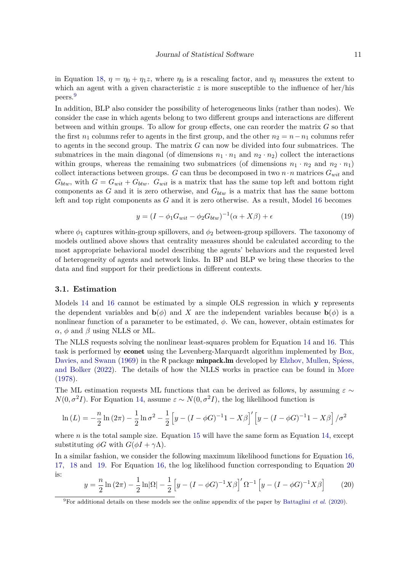in Equation [18,](#page-9-4)  $\eta = \eta_0 + \eta_1 z$ , where  $\eta_0$  is a rescaling factor, and  $\eta_1$  measures the extent to which an agent with a given characteristic  $z$  is more susceptible to the influence of her/his peers.[9](#page-10-0)

In addition, BLP also consider the possibility of heterogeneous links (rather than nodes). We consider the case in which agents belong to two different groups and interactions are different between and within groups. To allow for group effects, one can reorder the matrix *G* so that the first  $n_1$  columns refer to agents in the first group, and the other  $n_2 = n - n_1$  columns refer to agents in the second group. The matrix *G* can now be divided into four submatrices. The submatrices in the main diagonal (of dimensions  $n_1 \cdot n_1$  and  $n_2 \cdot n_2$ ) collect the interactions within groups, whereas the remaining two submatrices (of dimensions  $n_1 \cdot n_2$  and  $n_2 \cdot n_1$ ) collect interactions between groups. *G* can thus be decomposed in two  $n \cdot n$  matrices  $G_{wit}$  and  $G_{btw}$ , with  $G = G_{wit} + G_{btw}$ .  $G_{wit}$  is a matrix that has the same top left and bottom right components as *G* and it is zero otherwise, and *Gbtw* is a matrix that has the same bottom left and top right components as *G* and it is zero otherwise. As a result, Model [16](#page-9-2) becomes

<span id="page-10-1"></span>
$$
y = (I - \phi_1 G_{wit} - \phi_2 G_{btw})^{-1} (\alpha + X\beta) + \epsilon
$$
\n(19)

where *ϕ*<sup>1</sup> captures within-group spillovers, and *ϕ*<sup>2</sup> between-group spillovers. The taxonomy of models outlined above shows that centrality measures should be calculated according to the most appropriate behavioral model describing the agents' behaviors and the requested level of heterogeneity of agents and network links. In BP and BLP we bring these theories to the data and find support for their predictions in different contexts.

### <span id="page-10-3"></span>**3.1. Estimation**

Models [14](#page-9-1) and [16](#page-9-2) cannot be estimated by a simple OLS regression in which **y** represents the dependent variables and **b**( $\phi$ ) and *X* are the independent variables because **b**( $\phi$ ) is a nonlinear function of a parameter to be estimated, *ϕ*. We can, however, obtain estimates for *α*, *ϕ* and *β* using NLLS or ML.

The NLLS requests solving the nonlinear least-squares problem for Equation [14](#page-9-1) and [16.](#page-9-2) This task is performed by econet using the Levenberg-Marquardt algorithm implemented by [Box,](#page-26-12) [Davies, and Swann](#page-26-12) [\(1969\)](#page-26-12) in the R package **minpack.lm** developed by [Elzhov, Mullen, Spiess,](#page-26-13) [and Bolker](#page-26-13) [\(2022\)](#page-26-13). The details of how the NLLS works in practice can be found in [More](#page-28-12) [\(1978\)](#page-28-12).

The ML estimation requests ML functions that can be derived as follows, by assuming  $\varepsilon \sim$  $N(0, \sigma^2 I)$ . For Equation [14,](#page-9-1) assume  $\varepsilon \sim N(0, \sigma^2 I)$ , the log likelihood function is

$$
\ln(L) = -\frac{n}{2}\ln(2\pi) - \frac{1}{2}\ln\sigma^{2} - \frac{1}{2}\left[y - (I - \phi G)^{-1} - X\beta\right]'\left[y - (I - \phi G)^{-1} - X\beta\right]/\sigma^{2}
$$

where *n* is the total sample size. Equation [15](#page-9-5) will have the same form as Equation [14,](#page-9-1) except substituting  $\phi G$  with  $G(\phi I + \gamma \Lambda)$ .

In a similar fashion, we consider the following maximum likelihood functions for Equation [16,](#page-9-2) [17,](#page-9-3) [18](#page-9-4) and [19.](#page-10-1) For Equation [16,](#page-9-2) the log likelihood function corresponding to Equation [20](#page-10-2) is:

<span id="page-10-2"></span>
$$
y = \frac{n}{2} \ln (2\pi) - \frac{1}{2} \ln |\Omega| - \frac{1}{2} \left[ y - (I - \phi G)^{-1} X \beta \right]' \Omega^{-1} \left[ y - (I - \phi G)^{-1} X \beta \right]
$$
(20)

<span id="page-10-0"></span><sup>&</sup>lt;sup>9</sup>For additional details on these models see the online appendix of the paper by [Battaglini](#page-26-1) *et al.* [\(2020\)](#page-26-1).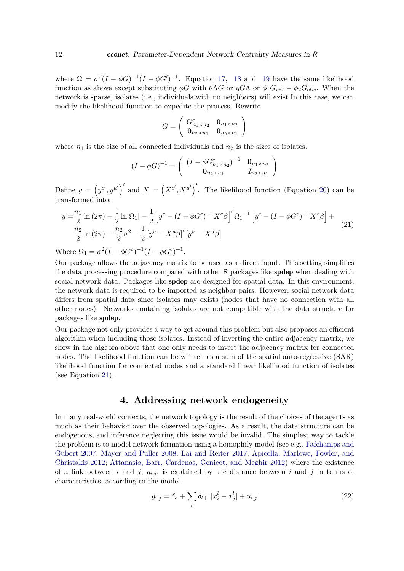where  $\Omega = \sigma^2 (I - \phi G)^{-1} (I - \phi G')^{-1}$ . Equation [17,](#page-9-3) [18](#page-9-4) and [19](#page-10-1) have the same likelihood function as above except substituting *ϕG* with *θ*Λ*G* or *ηG*Λ or *ϕ*1*Gwit* − *ϕ*2*Gbtw*. When the network is sparse, isolates (i.e., individuals with no neighbors) will exist.In this case, we can modify the likelihood function to expedite the process. Rewrite

$$
G = \left(\begin{array}{cc} G_{n_1 \times n_2}^c & \mathbf{0}_{n_1 \times n_2} \\ \mathbf{0}_{n_2 \times n_1} & \mathbf{0}_{n_2 \times n_1} \end{array}\right)
$$

where  $n_1$  is the size of all connected individuals and  $n_2$  is the sizes of isolates.

$$
(I - \phi G)^{-1} = \begin{pmatrix} (I - \phi G_{n_1 \times n_2}^c)^{-1} & \mathbf{0}_{n_1 \times n_2} \\ \mathbf{0}_{n_2 \times n_1} & I_{n_2 \times n_1} \end{pmatrix}
$$

Define  $y = (y^{c'}, y^{u'})'$  and  $X = (X^{c'}, X^{u'})'$ . The likelihood function (Equation [20\)](#page-10-2) can be transformed into:

<span id="page-11-1"></span>
$$
y = \frac{n_1}{2} \ln(2\pi) - \frac{1}{2} \ln|\Omega_1| - \frac{1}{2} \left[ y^c - (I - \phi G^c)^{-1} X^c \beta \right]' \Omega_1^{-1} \left[ y^c - (I - \phi G^c)^{-1} X^c \beta \right] +
$$
  

$$
\frac{n_2}{2} \ln(2\pi) - \frac{n_2}{2} \sigma^2 - \frac{1}{2} \left[ y^u - X^u \beta \right]' \left[ y^u - X^u \beta \right]
$$
 (21)

Where  $\Omega_1 = \sigma^2 (I - \phi G^c)^{-1} (I - \phi G^c)^{-1}$ .

Our package allows the adjacency matrix to be used as a direct input. This setting simplifies the data processing procedure compared with other R packages like spdep when dealing with social network data. Packages like spdep are designed for spatial data. In this environment, the network data is required to be imported as neighbor pairs. However, social network data differs from spatial data since isolates may exists (nodes that have no connection with all other nodes). Networks containing isolates are not compatible with the data structure for packages like spdep.

Our package not only provides a way to get around this problem but also proposes an efficient algorithm when including those isolates. Instead of inverting the entire adjacency matrix, we show in the algebra above that one only needs to invert the adjacency matrix for connected nodes. The likelihood function can be written as a sum of the spatial auto-regressive (SAR) likelihood function for connected nodes and a standard linear likelihood function of isolates (see Equation [21\)](#page-11-1).

# **4. Addressing network endogeneity**

<span id="page-11-0"></span>In many real-world contexts, the network topology is the result of the choices of the agents as much as their behavior over the observed topologies. As a result, the data structure can be endogenous, and inference neglecting this issue would be invalid. The simplest way to tackle the problem is to model network formation using a homophily model (see e.g., [Fafchamps and](#page-27-7) [Gubert](#page-27-7) [2007;](#page-27-7) [Mayer and Puller](#page-28-13) [2008;](#page-28-13) [Lai and Reiter](#page-27-8) [2017;](#page-27-8) [Apicella, Marlowe, Fowler, and](#page-25-6) [Christakis](#page-25-6) [2012;](#page-25-6) [Attanasio, Barr, Cardenas, Genicot, and Meghir](#page-26-14) [2012\)](#page-26-14) where the existence of a link between *i* and *j*,  $g_{i,j}$ , is explained by the distance between *i* and *j* in terms of characteristics, according to the model

<span id="page-11-2"></span>
$$
g_{i,j} = \delta_o + \sum_{l} \delta_{l+1} |x_i^l - x_j^l| + u_{i,j}
$$
\n(22)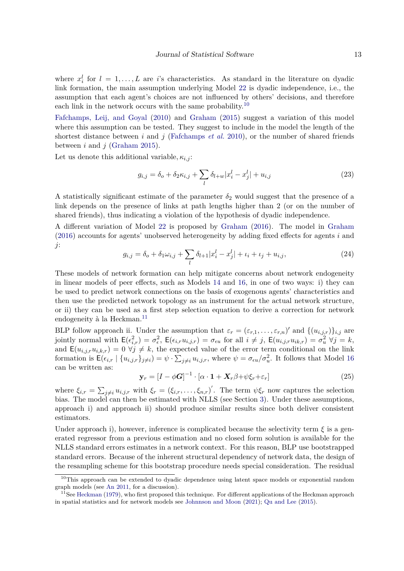where  $x_i^l$  for  $l = 1, ..., L$  are *i*'s characteristics. As standard in the literature on dyadic link formation, the main assumption underlying Model [22](#page-11-2) is dyadic independence, i.e., the assumption that each agent's choices are not influenced by others' decisions, and therefore each link in the network occurs with the same probability.<sup>[10](#page-12-0)</sup>

[Fafchamps, Leij, and Goyal](#page-27-9) [\(2010\)](#page-27-9) and [Graham](#page-27-10) [\(2015\)](#page-27-10) suggest a variation of this model where this assumption can be tested. They suggest to include in the model the length of the shortest distance between *i* and *j* [\(Fafchamps](#page-27-9) *et al.* [2010\)](#page-27-9), or the number of shared friends between *i* and *j* [\(Graham](#page-27-10) [2015\)](#page-27-10).

Let us denote this additional variable,  $\kappa_{i,j}$ :

<span id="page-12-4"></span>
$$
g_{i,j} = \delta_o + \delta_2 \kappa_{i,j} + \sum_l \delta_{l+w} |x_i^l - x_j^l| + u_{i,j}
$$
 (23)

A statistically significant estimate of the parameter  $\delta_2$  would suggest that the presence of a link depends on the presence of links at path lengths higher than 2 (or on the number of shared friends), thus indicating a violation of the hypothesis of dyadic independence.

A different variation of Model [22](#page-11-2) is proposed by [Graham](#page-27-11) [\(2016\)](#page-27-11). The model in [Graham](#page-27-11) [\(2016\)](#page-27-11) accounts for agents' unobserved heterogeneity by adding fixed effects for agents *i* and *j*:

<span id="page-12-3"></span>
$$
g_{i,j} = \delta_o + \delta_1 \omega_{i,j} + \sum_l \delta_{l+1} |x_i^l - x_j^l| + \iota_i + \iota_j + u_{i,j}, \tag{24}
$$

These models of network formation can help mitigate concerns about network endogeneity in linear models of peer effects, such as Models [14](#page-9-1) and [16,](#page-9-2) in one of two ways: i) they can be used to predict network connections on the basis of exogenous agents' characteristics and then use the predicted network topology as an instrument for the actual network structure, or ii) they can be used as a first step selection equation to derive a correction for network endogeneity à la Heckman.<sup>[11](#page-12-1)</sup>

BLP follow approach ii. Under the assumption that  $\varepsilon_r = (\varepsilon_{r,1}, \ldots, \varepsilon_{r,n})'$  and  $\{(u_{i,j,r})\}_{i,j}$  are jointly normal with  $\mathsf{E}(\epsilon_{i,r}^2) = \sigma_{\epsilon}^2$ ,  $\mathsf{E}(\epsilon_{i,r}u_{i,j,r}) = \sigma_{\epsilon u}$  for all  $i \neq j$ ,  $\mathsf{E}(u_{i,j,r}u_{ik,r}) = \sigma_u^2$   $\forall j = k$ , and  $\mathsf{E}(u_{i,j,r}u_{i,k,r})=0$   $\forall j \neq k$ , the expected value of the error term conditional on the link formation is  $\mathsf{E}(\epsilon_{i,r} | \{u_{i,j,r}\}_{j\neq i}) = \psi \cdot \sum_{j\neq i} u_{i,j,r}$ , where  $\psi = \sigma_{\epsilon u}/\sigma_u^2$ . It follows that Model [16](#page-9-2) can be written as:

<span id="page-12-2"></span>
$$
\mathbf{y}_r = \left[I - \phi \mathbf{G}\right]^{-1} \cdot \left[\alpha \cdot \mathbf{1} + \mathbf{X}_r \beta + \psi \xi_r + \varepsilon_r\right] \tag{25}
$$

where  $\xi_{i,r} = \sum_{j \neq i} u_{i,j,r}$  with  $\xi_r = (\xi_{i,r}, \ldots, \xi_{n,r})'$ . The term  $\psi \xi_r$  now captures the selection bias. The model can then be estimated with NLLS (see Section [3\)](#page-8-0). Under these assumptions, approach i) and approach ii) should produce similar results since both deliver consistent estimators.

Under approach i), however, inference is complicated because the selectivity term  $\xi$  is a generated regressor from a previous estimation and no closed form solution is available for the NLLS standard errors estimates in a network context. For this reason, BLP use bootstrapped standard errors. Because of the inherent structural dependency of network data, the design of the resampling scheme for this bootstrap procedure needs special consideration. The residual

<span id="page-12-0"></span><sup>&</sup>lt;sup>10</sup>This approach can be extended to dyadic dependence using latent space models or exponential random graph models (see [An](#page-25-0) [2011,](#page-25-0) for a discussion).

<span id="page-12-1"></span> $11$ See [Heckman](#page-27-3) [\(1979\)](#page-27-3), who first proposed this technique. For different applications of the Heckman approach in spatial statistics and for network models see [Johnnson and Moon](#page-27-12) [\(2021\)](#page-27-12); [Qu and Lee](#page-28-14) [\(2015\)](#page-28-14).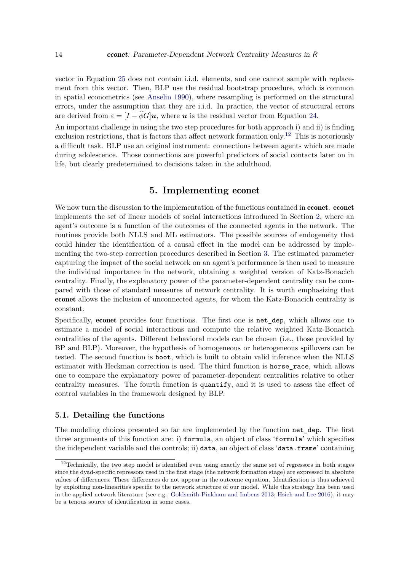vector in Equation [25](#page-12-2) does not contain i.i.d. elements, and one cannot sample with replacement from this vector. Then, BLP use the residual bootstrap procedure, which is common in spatial econometrics (see [Anselin](#page-25-7) [1990\)](#page-25-7), where resampling is performed on the structural errors, under the assumption that they are i.i.d. In practice, the vector of structural errors are derived from  $\varepsilon = [I - \phi G]u$ , where *u* is the residual vector from Equation [24.](#page-12-3)

An important challenge in using the two step procedures for both approach i) and ii) is finding exclusion restrictions, that is factors that affect network formation only.[12](#page-13-1) This is notoriously a difficult task. BLP use an original instrument: connections between agents which are made during adolescence. Those connections are powerful predictors of social contacts later on in life, but clearly predetermined to decisions taken in the adulthood.

# **5. Implementing** econet

<span id="page-13-0"></span>We now turn the discussion to the implementation of the functions contained in **econet**. **econet** implements the set of linear models of social interactions introduced in Section [2,](#page-2-0) where an agent's outcome is a function of the outcomes of the connected agents in the network. The routines provide both NLLS and ML estimators. The possible sources of endogeneity that could hinder the identification of a causal effect in the model can be addressed by implementing the two-step correction procedures described in Section [3.](#page-8-0) The estimated parameter capturing the impact of the social network on an agent's performance is then used to measure the individual importance in the network, obtaining a weighted version of Katz-Bonacich centrality. Finally, the explanatory power of the parameter-dependent centrality can be compared with those of standard measures of network centrality. It is worth emphasizing that econet allows the inclusion of unconnected agents, for whom the Katz-Bonacich centrality is constant.

Specifically, econet provides four functions. The first one is net\_dep, which allows one to estimate a model of social interactions and compute the relative weighted Katz-Bonacich centralities of the agents. Different behavioral models can be chosen (i.e., those provided by BP and BLP). Moreover, the hypothesis of homogeneous or heterogeneous spillovers can be tested. The second function is boot, which is built to obtain valid inference when the NLLS estimator with Heckman correction is used. The third function is horse\_race, which allows one to compare the explanatory power of parameter-dependent centralities relative to other centrality measures. The fourth function is quantify, and it is used to assess the effect of control variables in the framework designed by BLP.

#### **5.1. Detailing the functions**

The modeling choices presented so far are implemented by the function net dep. The first three arguments of this function are: i) formula, an object of class 'formula' which specifies the independent variable and the controls; ii) data, an object of class 'data.frame' containing

<span id="page-13-1"></span> $12$ Technically, the two step model is identified even using exactly the same set of regressors in both stages since the dyad-specific repressors used in the first stage (the network formation stage) are expressed in absolute values of differences. These differences do not appear in the outcome equation. Identification is thus achieved by exploiting non-linearities specific to the network structure of our model. While this strategy has been used in the applied network literature (see e.g., [Goldsmith-Pinkham and Imbens](#page-27-13) [2013;](#page-27-13) [Hsieh and Lee](#page-27-14) [2016\)](#page-27-14), it may be a tenous source of identification in some cases.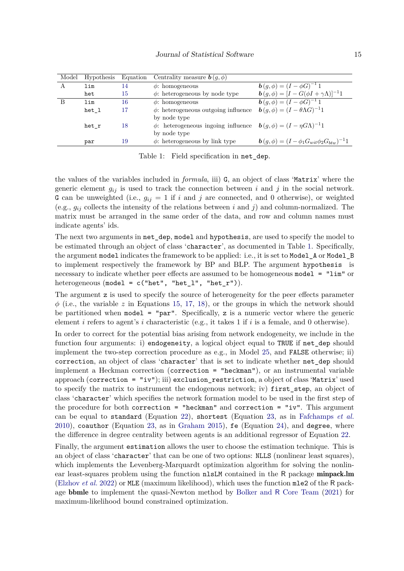| Model | Hypothesis | Equation | Centrality measure $\mathbf{b}(q, \phi)$                                                         |                                                                   |
|-------|------------|----------|--------------------------------------------------------------------------------------------------|-------------------------------------------------------------------|
| A     | lim        | 14       | $\phi$ : homogeneous                                                                             | $\mathbf{b}(g,\phi) = (I - \phi G)^{-1} 1$                        |
|       | het        | 15       | $\phi$ : heterogeneous by node type                                                              | $\mathbf{b}(g,\phi) = [I - G(\phi I + \gamma \Lambda)]^{-1}1$     |
|       | lim        | 16       | $\phi$ : homogeneous                                                                             | $\mathbf{b}(q,\phi) = (I - \phi G)^{-1} 1$                        |
|       | het 1      |          | $\phi$ : heterogeneous outgoing influence                                                        | $\mathbf{b}(q,\phi) = (I - \theta \Lambda G)^{-1}1$               |
|       |            |          | by node type                                                                                     |                                                                   |
|       | het r      | 18       | $\phi$ : heterogeneous ingoing influence $\boldsymbol{b}(q, \phi) = (I - \eta G \Lambda)^{-1} 1$ |                                                                   |
|       |            |          | by node type                                                                                     |                                                                   |
|       | par        | 19       | $\phi$ : heterogeneous by link type                                                              | $\mathbf{b}(g,\phi) = (I - \phi_1 G_{wit} \phi_2 G_{btw})^{-1} 1$ |

<span id="page-14-0"></span>Table 1: Field specification in net\_dep.

the values of the variables included in *formula*, iii) G, an object of class 'Matrix' where the generic element  $g_{ij}$  is used to track the connection between *i* and *j* in the social network. G can be unweighted (i.e.,  $g_{ij} = 1$  if *i* and *j* are connected, and 0 otherwise), or weighted (e.g.,  $g_{ij}$  collects the intensity of the relations between *i* and *j*) and column-normalized. The matrix must be arranged in the same order of the data, and row and column names must indicate agents' ids.

The next two arguments in net dep, model and hypothesis, are used to specify the model to be estimated through an object of class 'character', as documented in Table [1.](#page-14-0) Specifically, the argument model indicates the framework to be applied: i.e., it is set to Model\_A or Model\_B to implement respectively the framework by BP and BLP. The argument hypothesis is necessary to indicate whether peer effects are assumed to be homogeneous model = "lim" or heterogeneous (model =  $c("het", "het_l", "het_r").$ 

The argument z is used to specify the source of heterogeneity for the peer effects parameter  $\phi$  (i.e., the variable *z* in Equations [15,](#page-9-5) [17,](#page-9-3) [18\)](#page-9-4), or the groups in which the network should be partitioned when  $model = "par".$  Specifically, z is a numeric vector where the generic element *i* refers to agent's *i* characteristic (e.g., it takes 1 if *i* is a female, and 0 otherwise).

In order to correct for the potential bias arising from network endogeneity, we include in the function four arguments: i) endogeneity, a logical object equal to TRUE if net\_dep should implement the two-step correction procedure as e.g., in Model [25,](#page-12-2) and FALSE otherwise; ii) correction, an object of class 'character' that is set to indicate whether net\_dep should implement a Heckman correction (correction = "heckman"), or an instrumental variable approach (correction = "iv"); iii) exclusion\_restriction, a object of class 'Matrix' used to specify the matrix to instrument the endogenous network; iv) first\_step, an object of class 'character' which specifies the network formation model to be used in the first step of the procedure for both correction = "heckman" and correction = "iv". This argument can be equal to standard (Equation [22\)](#page-11-2), shortest (Equation [23,](#page-12-4) as in [Fafchamps](#page-27-9) *et al.* [2010\)](#page-27-9), coauthor (Equation [23,](#page-12-4) as in [Graham](#page-27-10) [2015\)](#page-27-10), fe (Equation [24\)](#page-12-3), and degree, where the difference in degree centrality between agents is an additional regressor of Equation [22.](#page-11-2)

Finally, the argument estimation allows the user to choose the estimation technique. This is an object of class 'character' that can be one of two options: NLLS (nonlinear least squares), which implements the Levenberg-Marquardt optimization algorithm for solving the nonlinear least-squares problem using the function nlsLM contained in the R package minpack.lm [\(Elzhov](#page-26-13) *et al.* [2022\)](#page-26-13) or MLE (maximum likelihood), which uses the function mle2 of the R package bbmle to implement the quasi-Newton method by Bolker and R [Core Team](#page-26-15) [\(2021\)](#page-26-15) for maximum-likelihood bound constrained optimization.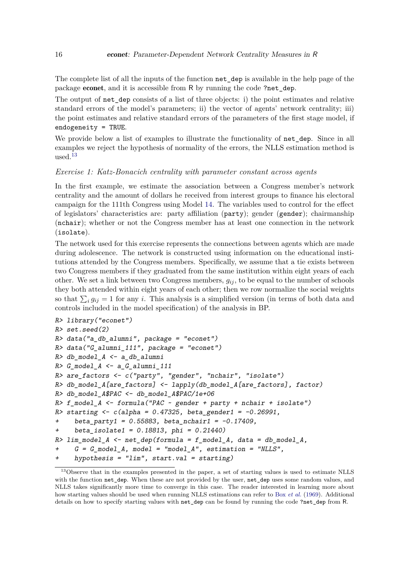The complete list of all the inputs of the function net\_dep is available in the help page of the package econet, and it is accessible from R by running the code ?net\_dep.

The output of net dep consists of a list of three objects: i) the point estimates and relative standard errors of the model's parameters; ii) the vector of agents' network centrality; iii) the point estimates and relative standard errors of the parameters of the first stage model, if endogeneity = TRUE.

We provide below a list of examples to illustrate the functionality of net dep. Since in all examples we reject the hypothesis of normality of the errors, the NLLS estimation method is used  $13$ 

#### *Exercise 1: Katz-Bonacich centrality with parameter constant across agents*

In the first example, we estimate the association between a Congress member's network centrality and the amount of dollars he received from interest groups to finance his electoral campaign for the 111th Congress using Model [14.](#page-9-1) The variables used to control for the effect of legislators' characteristics are: party affiliation (party); gender (gender); chairmanship (nchair); whether or not the Congress member has at least one connection in the network (isolate).

The network used for this exercise represents the connections between agents which are made during adolescence. The network is constructed using information on the educational institutions attended by the Congress members. Specifically, we assume that a tie exists between two Congress members if they graduated from the same institution within eight years of each other. We set a link between two Congress members, *gij* , to be equal to the number of schools they both attended within eight years of each other; then we row normalize the social weights so that  $\sum_i g_{ij} = 1$  for any *i*. This analysis is a simplified version (in terms of both data and controls included in the model specification) of the analysis in BP.

```
R> library("econet")
R> set.seed(2)
R> data("a_db_alumni", package = "econet")
R> data("G alumni 111", package = "econet")
R> db_model_A <- a_db_alumni
R > G_model_A \leftarrow a_G_alumni_111
R> are_factors <- c("party", "gender", "nchair", "isolate")
R> db_model_A[are_factors] <- lapply(db_model_A[are_factors], factor)
R> db_model_A$PAC <- db_model_A$PAC/1e+06
R> f_model_A <- formula("PAC ~ gender + party + nchair + isolate")
R> starting \leq c (alpha = 0.47325, beta_gender1 = -0.26991,
+ beta_party1 = 0.55883, beta_nchair1 = -0.17409,
+ beta_isolate1 = 0.18813, phi = 0.21440)
R> lim_model_A <- net_dep(formula = f_model_A, data = db_model_A,
     G = G_model_A, model = "model_A", estimation = "NLLS",
+ hypothesis = "lim", start.val = starting)
```
<span id="page-15-0"></span><sup>13</sup>Observe that in the examples presented in the paper, a set of starting values is used to estimate NLLS with the function net dep. When these are not provided by the user, net dep uses some random values, and NLLS takes significantly more time to converge in this case. The reader interested in learning more about how starting values should be used when running NLLS estimations can refer to Box *[et al.](#page-26-12)* [\(1969\)](#page-26-12). Additional details on how to specify starting values with net\_dep can be found by running the code ?net\_dep from R.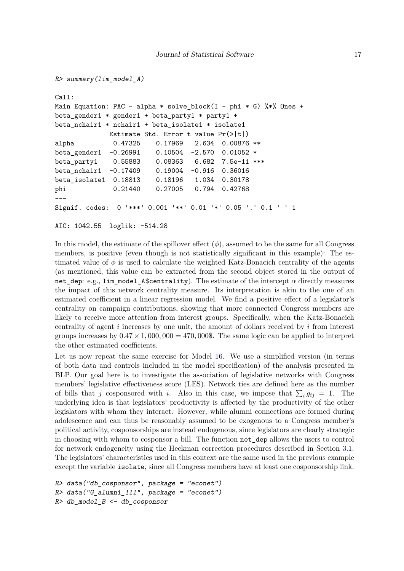```
R> summary(lim_model_A)
Call:
Main Equation: PAC \sim alpha * solve_block(I - phi * G) %*% Ones +
beta_gender1 * gender1 + beta_party1 * party1 +
beta_nchair1 * nchair1 + beta_isolate1 * isolate1
             Estimate Std. Error t value Pr(>|t|)
alpha 0.47325 0.17969 2.634 0.00876 **
beta_gender1 -0.26991 0.10504 -2.570 0.01052 *
beta party1 0.55883 0.08363 6.682 7.5e-11 ***
beta_nchair1 -0.17409 0.19004 -0.916 0.36016
beta_isolate1 0.18813 0.18196 1.034 0.30178
phi 0.21440 0.27005 0.794 0.42768
---
Signif. codes: 0 '***' 0.001 '**' 0.01 '*' 0.05 '.' 0.1 ' ' 1
```

```
AIC: 1042.55 loglik: -514.28
```
In this model, the estimate of the spillover effect  $(\phi)$ , assumed to be the same for all Congress members, is positive (even though is not statistically significant in this example): The estimated value of  $\phi$  is used to calculate the weighted Katz-Bonacich centrality of the agents (as mentioned, this value can be extracted from the second object stored in the output of net\_dep: e.g., lim\_model\_A\$centrality). The estimate of the intercept  $\alpha$  directly measures the impact of this network centrality measure. Its interpretation is akin to the one of an estimated coefficient in a linear regression model. We find a positive effect of a legislator's centrality on campaign contributions, showing that more connected Congress members are likely to receive more attention from interest groups. Specifically, when the Katz-Bonacich centrality of agent *i* increases by one unit, the amount of dollars received by *i* from interest groups increases by  $0.47 \times 1,000,000 = 470,000$ . The same logic can be applied to interpret the other estimated coefficients.

Let us now repeat the same exercise for Model [16.](#page-9-2) We use a simplified version (in terms of both data and controls included in the model specification) of the analysis presented in BLP. Our goal here is to investigate the association of legislative networks with Congress members' legislative effectiveness score (LES). Network ties are defined here as the number of bills that *j* cosponsored with *i*. Also in this case, we impose that  $\sum_i g_{ij} = 1$ . The underlying idea is that legislators' productivity is affected by the productivity of the other legislators with whom they interact. However, while alumni connections are formed during adolescence and can thus be reasonably assumed to be exogenous to a Congress member's political activity, cosponsorships are instead endogenous, since legislators are clearly strategic in choosing with whom to cosponsor a bill. The function net\_dep allows the users to control for network endogeneity using the Heckman correction procedures described in Section [3.1.](#page-10-3) The legislators' characteristics used in this context are the same used in the previous example except the variable isolate, since all Congress members have at least one cosponsorship link.

```
R> data("db_cosponsor", package = "econet")
R
> data("G_ alumni 111", package = "econet")
R> db_model_B <- db_cosponsor
```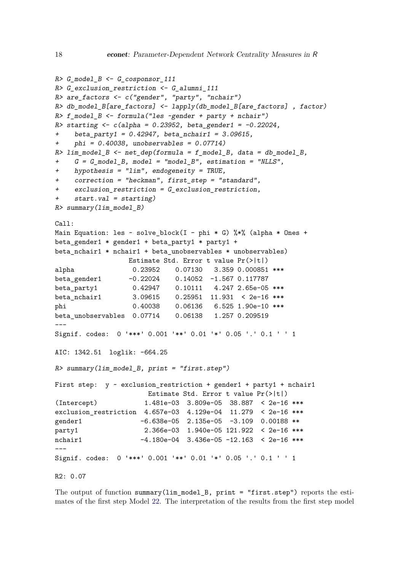```
R > G model B \leftarrow G cosponsor 111
R> G_exclusion_restriction <- G_alumni_111
R> are_factors <- c("gender", "party", "nchair")
R> db_model_B[are_factors] <- lapply(db_model_B[are_factors] , factor)
R> f model B <- formula("les ~gender + party + nchair")
R> starting \langle -c(\text{alpha} = 0.23952, \text{beta\_gender1} = -0.22024, \text{beta\_f} = -0.22024, \text{beta\_f} = -0.22024, \text{beta\_f} = -0.22024+ beta party1 = 0.42947, beta nchair1 = 3.09615,
     phi = 0.40038, unobservables = 0.07714)
R> lim_model B <- net dep(formula = f_model B, data = db_model B,
+ G = G_model_B, model = "model_B", estimation = "NLLS",
+ hypothesis = "lim", endogeneity = TRUE,
+ correction = "heckman", first_step = "standard",
+ exclusion_restriction = G_exclusion_restriction,
+ start.val = starting)
R> summary(lim_model_B)
Call:
Main Equation: les ~ solve_block(I - phi * G) \frac{1}{2} (alpha * Ones +
beta_gender1 * gender1 + beta_party1 * party1 +
beta_nchair1 * nchair1 + beta_unobservables * unobservables)
                  Estimate Std. Error t value Pr(>|t|)
alpha 0.23952 0.07130 3.359 0.000851 ***
beta_gender1 -0.22024 0.14052 -1.567 0.117787
beta_party1 0.42947 0.10111 4.247 2.65e-05 ***
beta_nchair1 3.09615 0.25951 11.931 < 2e-16 ***
phi 0.40038 0.06136 6.525 1.90e-10 ***
beta_unobservables 0.07714 0.06138 1.257 0.209519
---
Signif. codes: 0 '***' 0.001 '**' 0.01 '*' 0.05 '.' 0.1 ' ' 1
AIC: 1342.51 loglik: -664.25
R> summary(lim_model_B, print = "first.step")
First step: y \sim exclusion_restriction + gender1 + party1 + nchair1
                       Estimate Std. Error t value Pr(>|t|)
(Intercept) 1.481e-03 3.809e-05 38.887 < 2e-16 ***
exclusion restriction 4.657e-03 4.129e-04 11.279 < 2e-16 ***
gender1 -6.638e-05 2.135e-05 -3.109 0.00188 **
party1 2.366e-03 1.940e-05 121.922 < 2e-16 ***
nchair1 -4.180e-04 3.436e-05 -12.163 < 2e-16 ***
---
Signif. codes: 0 '***' 0.001 '**' 0.01 '*' 0.05 '.' 0.1 ' ' 1
R2: 0.07
```
The output of function summary(lim\_model\_B, print = "first.step") reports the estimates of the first step Model [22.](#page-11-2) The interpretation of the results from the first step model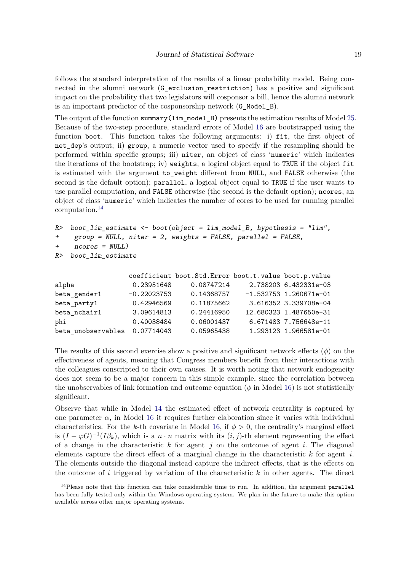follows the standard interpretation of the results of a linear probability model. Being connected in the alumni network (G\_exclusion\_restriction) has a positive and significant impact on the probability that two legislators will cosponsor a bill, hence the alumni network is an important predictor of the cosponsorship network (G\_Model\_B).

The output of the function summary(lim\_model\_B) presents the estimation results of Model [25.](#page-12-2) Because of the two-step procedure, standard errors of Model [16](#page-9-2) are bootstrapped using the function boot. This function takes the following arguments: i) fit, the first object of net dep's output; ii) group, a numeric vector used to specify if the resampling should be performed within specific groups; iii) niter, an object of class 'numeric' which indicates the iterations of the bootstrap; iv) weights, a logical object equal to TRUE if the object fit is estimated with the argument to\_weight different from NULL, and FALSE otherwise (the second is the default option); parallel, a logical object equal to TRUE if the user wants to use parallel computation, and FALSE otherwise (the second is the default option); ncores, an object of class 'numeric' which indicates the number of cores to be used for running parallel computation.[14](#page-18-0)

```
R> boot lim estimate <- boot(object = lim model B, hypothesis = "lim",
+ group = NULL, niter = 2, weights = FALSE, parallel = FALSE,
+ ncores = NULL)
R> boot_lim_estimate
```

| 0.23951648                    | 0.08747214 | 2.738203 6.432331e-03                                |
|-------------------------------|------------|------------------------------------------------------|
| $-0.22023753$                 | 0.14368757 | $-1.532753$ 1.260671e-01                             |
| 0.42946569                    | 0.11875662 | 3.616352 3.339708e-04                                |
| 3.09614813                    | 0.24416950 | 12.680323 1.487650e-31                               |
| 0.40038484                    | 0.06001437 | 6.671483 7.756648e-11                                |
| beta_unobservables 0.07714043 | 0.05965438 | 1.293123 1.966581e-01                                |
|                               |            | coefficient boot.Std.Error boot.t.value boot.p.value |

The results of this second exercise show a positive and significant network effects (*ϕ*) on the effectiveness of agents, meaning that Congress members benefit from their interactions with the colleagues conscripted to their own causes. It is worth noting that network endogeneity does not seem to be a major concern in this simple example, since the correlation between the unobservables of link formation and outcome equation  $(\phi \text{ in Model } 16)$  $(\phi \text{ in Model } 16)$  is not statistically significant.

Observe that while in Model [14](#page-9-1) the estimated effect of network centrality is captured by one parameter  $\alpha$ , in Model [16](#page-9-2) it requires further elaboration since it varies with individual characteristics. For the *k*-th covariate in Model [16,](#page-9-2) if  $\phi > 0$ , the centrality's marginal effect is  $(I - \varphi G)^{-1}(I\beta_k)$ , which is a  $n \cdot n$  matrix with its  $(i, j)$ -th element representing the effect of a change in the characteristic *k* for agent *j* on the outcome of agent *i.* The diagonal elements capture the direct effect of a marginal change in the characteristic *k* for agent *i.* The elements outside the diagonal instead capture the indirect effects, that is the effects on the outcome of *i* triggered by variation of the characteristic *k* in other agents. The direct

<span id="page-18-0"></span><sup>&</sup>lt;sup>14</sup>Please note that this function can take considerable time to run. In addition, the argument parallel has been fully tested only within the Windows operating system. We plan in the future to make this option available across other major operating systems.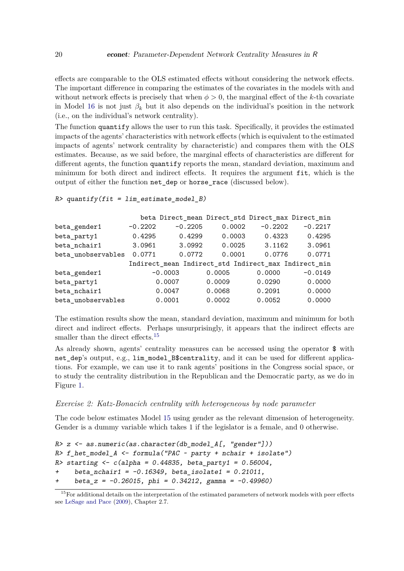effects are comparable to the OLS estimated effects without considering the network effects. The important difference in comparing the estimates of the covariates in the models with and without network effects is precisely that when  $\phi > 0$ , the marginal effect of the *k*-th covariate in Model [16](#page-9-2) is not just  $\beta_k$  but it also depends on the individual's position in the network (i.e., on the individual's network centrality).

The function quantify allows the user to run this task. Specifically, it provides the estimated impacts of the agents' characteristics with network effects (which is equivalent to the estimated impacts of agents' network centrality by characteristic) and compares them with the OLS estimates. Because, as we said before, the marginal effects of characteristics are different for different agents, the function quantify reports the mean, standard deviation, maximum and minimum for both direct and indirect effects. It requires the argument fit, which is the output of either the function net\_dep or horse\_race (discussed below).

#### $R$ > quantify(fit = lim\_estimate\_model\_B)

|                    |           | beta Direct_mean Direct_std Direct_max Direct_min    |        |           |           |
|--------------------|-----------|------------------------------------------------------|--------|-----------|-----------|
| beta_gender1       | $-0.2202$ | $-0.2205$                                            | 0.0002 | $-0.2202$ | $-0.2217$ |
| beta_party1        | 0.4295    | 0.4299                                               | 0.0003 | 0.4323    | 0.4295    |
| beta nchair1       | 3.0961    | 3.0992                                               | 0.0025 | 3.1162    | 3.0961    |
| beta unobservables | 0.0771    | 0.0772                                               | 0.0001 | 0.0776    | 0.0771    |
|                    |           | Indirect_mean Indirect_std Indirect_max Indirect_min |        |           |           |
| beta_gender1       |           | $-0.0003$                                            | 0.0005 | 0.0000    | $-0.0149$ |
| beta_party1        |           | 0.0007                                               | 0.0009 | 0.0290    | 0.0000    |
| beta nchair1       |           | 0.0047                                               | 0.0068 | 0.2091    | 0.0000    |
| beta unobservables |           | 0.0001                                               | 0.0002 | 0.0052    | 0.0000    |

The estimation results show the mean, standard deviation, maximum and minimum for both direct and indirect effects. Perhaps unsurprisingly, it appears that the indirect effects are smaller than the direct effects.<sup>[15](#page-19-0)</sup>

As already shown, agents' centrality measures can be accessed using the operator \$ with net dep's output, e.g., lim model B\$centrality, and it can be used for different applications. For example, we can use it to rank agents' positions in the Congress social space, or to study the centrality distribution in the Republican and the Democratic party, as we do in Figure [1.](#page-20-0)

# *Exercise 2: Katz-Bonacich centrality with heterogeneous by node parameter*

The code below estimates Model [15](#page-9-5) using gender as the relevant dimension of heterogeneity. Gender is a dummy variable which takes 1 if the legislator is a female, and 0 otherwise.

```
R> z \leftarrow as.numeric(as. character(db_model_A[, "gender"])
R> f_het_model_A <- formula("PAC ~ party + nchair + isolate")
R> starting \leq c (alpha = 0.44835, beta_party1 = 0.56004,
     beta nchair1 = -0.16349, beta isolate1 = 0.21011,
     beta z = -0.26015, phi = 0.34212, gamma = -0.49960)
```
<span id="page-19-0"></span> $15$  For additional details on the interpretation of the estimated parameters of network models with peer effects see [LeSage and Pace](#page-28-15) [\(2009\)](#page-28-15), Chapter 2.7.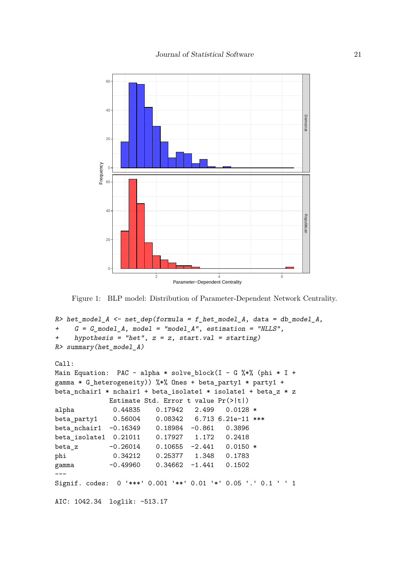

<span id="page-20-0"></span>Figure 1: BLP model: Distribution of Parameter-Dependent Network Centrality.

```
R> het_model_A <- net_dep(formula = f_het_model_A, data = db_model_A,
+ G = G_model_A, model = "model_A", estimation = "NLLS",
+ hypothesis = "het", z = z, start.val = starting)
R> summary(het_model_A)
Call:
Main Equation: PAC \sim alpha * solve_block(I - G %*% (phi * I +
gamma * G_heterogeneity)) %*% Ones + beta_party1 * party1 +
beta_nchair1 * nchair1 + beta_isolate1 * isolate1 + beta_z * z
            Estimate Std. Error t value Pr(>|t|)
alpha 0.44835 0.17942 2.499 0.0128 *
beta_party1 0.56004 0.08342 6.713 6.21e-11 ***
beta_nchair1 -0.16349 0.18984 -0.861 0.3896
beta_isolate1 0.21011 0.17927 1.172 0.2418
beta_z -0.26014 0.10655 -2.441 0.0150 *
phi 0.34212 0.25377 1.348 0.1783
gamma -0.49960 0.34662 -1.441 0.1502
Signif. codes: 0 '***' 0.001 '**' 0.01 '*' 0.05 '.' 0.1 ' ' 1
AIC: 1042.34 loglik: -513.17
```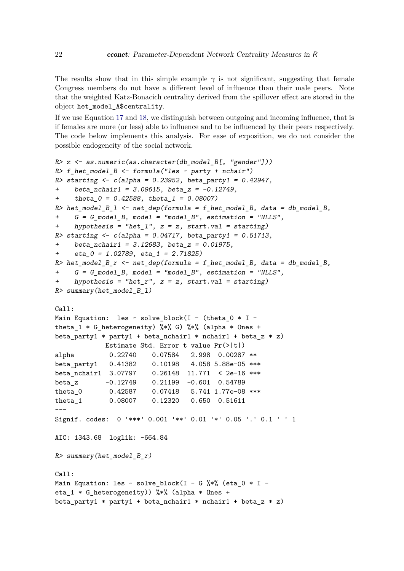The results show that in this simple example  $\gamma$  is not significant, suggesting that female Congress members do not have a different level of influence than their male peers. Note that the weighted Katz-Bonacich centrality derived from the spillover effect are stored in the object het\_model\_A\$centrality.

If we use Equation [17](#page-9-3) and [18,](#page-9-4) we distinguish between outgoing and incoming influence, that is if females are more (or less) able to influence and to be influenced by their peers respectively. The code below implements this analysis. For ease of exposition, we do not consider the possible endogeneity of the social network.

```
R > z <- as.numeric(as.character(db model B[, "gender"]))
R> f_het_model_B <- formula("les ~ party + nchair")
R> starting \langle -c(\text{alpha} = 0.23952, \text{beta} = 0.42947, \text{beta} = 0.42947, \text{beta} = 0.42947, \text{beta} = 0.42947, \text{beta} = 0.42947+ beta_nchair1 = 3.09615, beta_z = -0.12749,
+ theta 0 = 0.42588, theta 1 = 0.08007)
R> het_model_B_1 <- net_dep(formula = f_het_model_B, data = db_model_B,
      G = G_model_B, model = "model_B", estimation = "NLLS",
      hypothesis = "het_l", z = z, start.val = starting)
R> starting \langle -c(\text{alpha} = 0.04717, \text{beta} = 0.51713, \text{beta} = 0.51713, \text{alpha} = 0.51713, \text{alpha} = 0.51713, \text{alpha} = 0.51713, \text{alpha} = 0.51713, \text{alpha} = 0.51713, \text{alpha} = 0.51713, \text{alpha} = 0.51713, \text{alpha} = 0.51713, \text{alpha} = 0.51713, \text{alpha} = 0.51713, \text{alpha} = 0.+ beta_nchair1 = 3.12683, beta_z = 0.01975,
+ eta_0 = 1.02789, eta_1 = 2.71825)
R> het_model_B_r <- net_dep(formula = f_het_model_B, data = db_model_B,
      G = G model B, model = "model B", estimation = "NLLS",
      hypothesis = "het_r", z = z, start.val = starting)
R> summary(het_model_B_l)
Call:
Main Equation: les \sim solve_block(I - (theta_0 * I -
theta_1 * G_heterogeneity) %*% G) %*% (alpha * Ones +
beta_party1 * party1 + beta_nchair1 * nchair1 + beta_z * z)
               Estimate Std. Error t value Pr(>|t|)
alpha 0.22740 0.07584 2.998 0.00287 **
beta_party1 0.41382 0.10198 4.058 5.88e-05 ***
beta nchair1 3.07797 0.26148 11.771 < 2e-16 ***
beta z -0.12749 0.21199 -0.601 0.54789
theta_0 0.42587 0.07418 5.741 1.77e-08 ***
theta_1 0.08007 0.12320 0.650 0.51611
---
Signif. codes: 0 '***' 0.001 '**' 0.01 '*' 0.05 '.' 0.1 ' ' 1
AIC: 1343.68 loglik: -664.84
R> summary(het_model_B_r)
Call:
Main Equation: les ~ solve_block(I - G %*% (eta_0 * I -
eta_1 * G_heterogeneity)) %*% (alpha * Ones +
beta_party1 * party1 + beta_nchair1 * nchair1 + beta_z * z)
```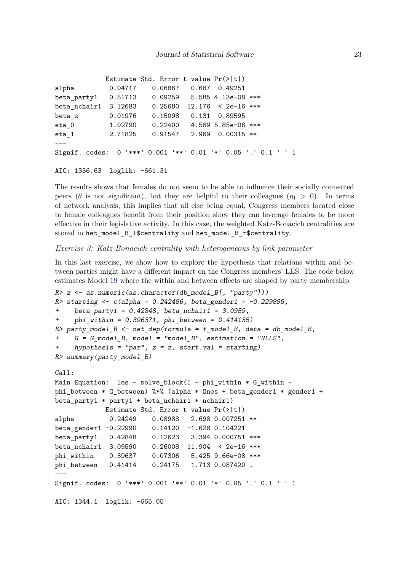|                                                               |         | Estimate Std. Error t value $Pr(>\vert t \vert)$ |                            |  |
|---------------------------------------------------------------|---------|--------------------------------------------------|----------------------------|--|
| alpha                                                         | 0.04717 | 0.06867 0.687 0.49251                            |                            |  |
| beta_party1                                                   |         | $0.51713$ 0.09259 5.585 4.13e-08 ***             |                            |  |
| beta_nchair1 3.12683 0.25680                                  |         |                                                  | $12.176$ < 2e-16 ***       |  |
| beta_z                                                        | 0.01976 | 0.15098                                          | 0.131 0.89595              |  |
| $eta_0$                                                       | 1.02790 | $0.22400$ 4.589 5.85e-06 ***                     |                            |  |
| eta 1                                                         | 2.71825 |                                                  | $0.91547$ 2.969 0.00315 ** |  |
|                                                               |         |                                                  |                            |  |
| Signif. codes: 0 '***' 0.001 '**' 0.01 '*' 0.05 '.' 0.1 ' ' 1 |         |                                                  |                            |  |

AIC: 1336.63 loglik: -661.31

The results shows that females do not seem to be able to influence their socially connected peers ( $\theta$  is not significant), but they are helpful to their colleagues ( $\eta_1 > 0$ ). In terms of network analysis, this implies that all else being equal, Congress members located close to female colleagues benefit from their position since they can leverage females to be more effective in their legislative activity. In this case, the weighted Katz-Bonacich centralities are stored in het\_model\_B\_l\$centrality and het\_model\_B\_r\$centrality.

*Exercise 3: Katz-Bonacich centrality with heterogeneous by link parameter*

In this last exercise, we show how to explore the hypothesis that relations within and between parties might have a different impact on the Congress members' LES. The code below estimates Model [19](#page-10-1) where the within and between effects are shaped by party membership.

```
R> z \leftarrow as.numeric(as. character(db_model_B[, "party"])
R> starting \leftarrow c (alpha = 0.242486, beta_gender1 = -0.229895,
+ beta_party1 = 0.42848, beta_nchair1 = 3.0959,
+ phi_within = 0.396371, phi_between = 0.414135)
R> party_model_B <- net_dep(formula = f_model_B, data = db_model_B,
     G = G_model_B, model = "model_B", estimation = "NLLS",
     hypothesis = "par", z = z, start.val = starting)
R> summary(party_model_B)
Call:
Main Equation: les \sim solve_block(I - phi_within * G_within -
phi_between * G_between) %*% (alpha * Ones + beta_gender1 * gender1 +
beta party1 * party1 + beta nchair1 * nchair1)
            Estimate Std. Error t value Pr(>|t|)
alpha 0.24249 0.08988 2.698 0.007251 **
beta_gender1 -0.22990 0.14120 -1.628 0.104221
beta_party1 0.42848 0.12623 3.394 0.000751 ***
beta_nchair1 3.09590 0.26008 11.904 < 2e-16 ***
phi_within 0.39637 0.07306 5.425 9.66e-08 ***
phi_between 0.41414 0.24175 1.713 0.087420 .
---
Signif. codes: 0 '***' 0.001 '**' 0.01 '*' 0.05 '.' 0.1 ' ' 1
AIC: 1344.1 loglik: -665.05
```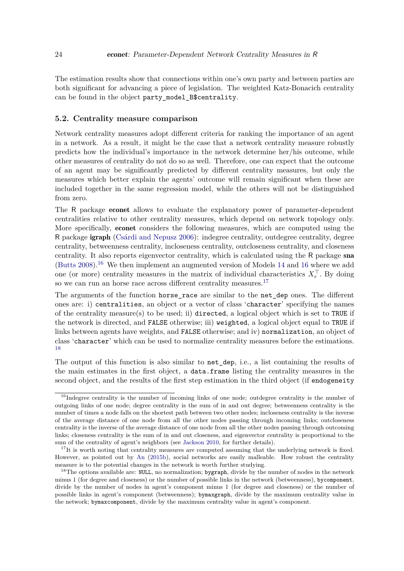The estimation results show that connections within one's own party and between parties are both significant for advancing a piece of legislation. The weighted Katz-Bonacich centrality can be found in the object party\_model\_B\$centrality.

#### **5.2. Centrality measure comparison**

Network centrality measures adopt different criteria for ranking the importance of an agent in a network. As a result, it might be the case that a network centrality measure robustly predicts how the individual's importance in the network determine her/his outcome, while other measures of centrality do not do so as well. Therefore, one can expect that the outcome of an agent may be significantly predicted by different centrality measures, but only the measures which better explain the agents' outcome will remain significant when these are included together in the same regression model, while the others will not be distinguished from zero.

The R package econet allows to evaluate the explanatory power of parameter-dependent centralities relative to other centrality measures, which depend on network topology only. More specifically, econet considers the following measures, which are computed using the R package igraph [\(Csárdi and Nepusz](#page-26-6) [2006\)](#page-26-6): indegree centrality, outdegree centrality, degree centrality, betweenness centrality, incloseness centrality, outcloseness centrality, and closeness centrality. It also reports eigenvector centrality, which is calculated using the R package sna [\(Butts](#page-26-7)  $2008$ ).<sup>[16](#page-9-2)</sup> We then implement an augmented version of Models [14](#page-9-1) and 16 where we add one (or more) centrality measures in the matrix of individual characteristics  $X_r^{\top}$ . By doing so we can run an horse race across different centrality measures.<sup>[17](#page-23-1)</sup>

The arguments of the function horse race are similar to the net dep ones. The different ones are: i) centralities, an object or a vector of class 'character' specifying the names of the centrality measure(s) to be used; ii) directed, a logical object which is set to TRUE if the network is directed, and FALSE otherwise; iii) weighted, a logical object equal to TRUE if links between agents have weights, and FALSE otherwise; and iv) normalization, an object of class 'character' which can be used to normalize centrality measures before the estimations. [18](#page-23-2)

The output of this function is also similar to net\_dep, i.e., a list containing the results of the main estimates in the first object, a data.frame listing the centrality measures in the second object, and the results of the first step estimation in the third object (if endogeneity

<span id="page-23-0"></span> $16$ Indegree centrality is the number of incoming links of one node; outdegree centrality is the number of outgoing links of one node; degree centrality is the sum of in and out degree; betweenness centrality is the number of times a node falls on the shortest path between two other nodes; incloseness centrality is the inverse of the average distance of one node from all the other nodes passing through incoming links; outcloseness centrality is the inverse of the average distance of one node from all the other nodes passing through outcoming links; closeness centrality is the sum of in and out closeness, and eigenvector centrality is proportional to the sum of the centrality of agent's neighbors (see [Jackson](#page-27-15) [2010,](#page-27-15) for further details).

<span id="page-23-1"></span> $17$ It is worth noting that centrality measures are computed assuming that the underlying network is fixed. However, as pointed out by [An](#page-25-8) [\(2015b\)](#page-25-8), social networks are easily malleable. How robust the centrality measure is to the potential changes in the network is worth further studying.

<span id="page-23-2"></span><sup>&</sup>lt;sup>18</sup>The options available are: NULL, no normalization; bygraph, divide by the number of nodes in the network minus 1 (for degree and closeness) or the number of possible links in the network (betweenness), bycomponent, divide by the number of nodes in agent's component minus 1 (for degree and closeness) or the number of possible links in agent's component (betweenness); bymaxgraph, divide by the maximum centrality value in the network; bymaxcomponent, divide by the maximum centrality value in agent's component.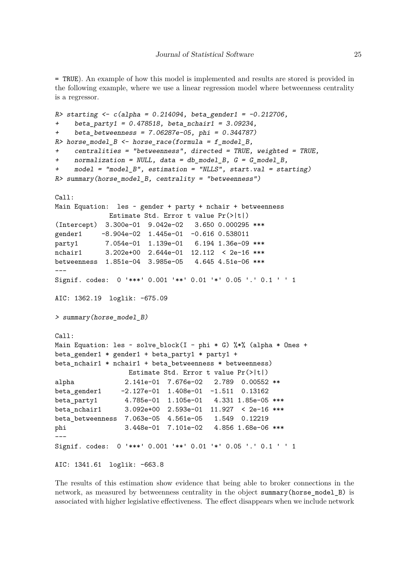= TRUE). An example of how this model is implemented and results are stored is provided in the following example, where we use a linear regression model where betweenness centrality is a regressor.

```
R> starting \leftarrow c (alpha = 0.214094, beta_gender1 = -0.212706,
+ beta party1 = 0.478518, beta nchair1 = 3.09234,
+ beta_betweenness = 7.06287e-05, phi = 0.344787)
R> horse_model_B <- horse_race(formula = f_model_B,
+ centralities = "betweenness", directed = TRUE, weighted = TRUE,
+ normalization = NULL, data = db_model_B, G = G_model_B,
+ model = "model_B", estimation = "NLLS", start.val = starting)
R> summary(horse_model_B, centrality = "betweenness")
Call:
Main Equation: les ~ gender + party + nchair + betweenness
             Estimate Std. Error t value Pr(>|t|)
(Intercept) 3.300e-01 9.042e-02 3.650 0.000295 ***
gender1 -8.904e-02 1.445e-01 -0.616 0.538011
party1 7.054e-01 1.139e-01 6.194 1.36e-09 ***
nchair1 3.202e+00 2.644e-01 12.112 < 2e-16 ***
betweenness 1.851e-04 3.985e-05 4.645 4.51e-06 ***
---Signif. codes: 0 '***' 0.001 '**' 0.01 '*' 0.05 '.' 0.1 ' ' 1
AIC: 1362.19 loglik: -675.09
> summary(horse_model_B)
Call:
Main Equation: les ~ solve_block(I - phi * G) %*% (alpha * Ones +
beta_gender1 * gender1 + beta_party1 * party1 +
beta_nchair1 * nchair1 + beta_betweenness * betweenness)
                  Estimate Std. Error t value Pr(>|t|)
alpha 2.141e-01 7.676e-02 2.789 0.00552 **
beta_gender1 -2.127e-01 1.408e-01 -1.511 0.13162
beta_party1 4.785e-01 1.105e-01 4.331 1.85e-05 ***
beta_nchair1 3.092e+00 2.593e-01 11.927 < 2e-16 ***
beta_betweenness 7.063e-05 4.561e-05 1.549 0.12219
phi 3.448e-01 7.101e-02 4.856 1.68e-06 ***
---
Signif. codes: 0 '***' 0.001 '**' 0.01 '*' 0.05 '.' 0.1 ' ' 1
AIC: 1341.61 loglik: -663.8
```
The results of this estimation show evidence that being able to broker connections in the network, as measured by betweenness centrality in the object summary(horse\_model\_B) is associated with higher legislative effectiveness. The effect disappears when we include network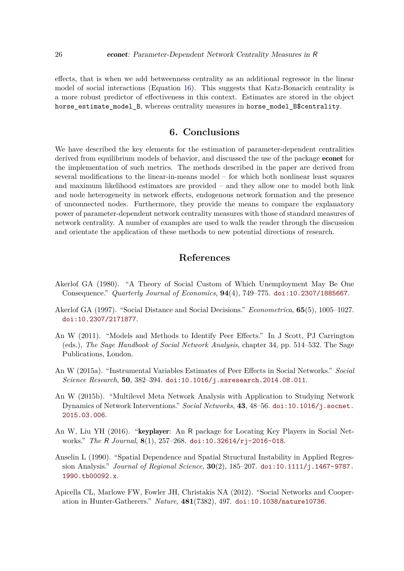effects, that is when we add betweenness centrality as an additional regressor in the linear model of social interactions (Equation [16\)](#page-9-2). This suggests that Katz-Bonacich centrality is a more robust predictor of effectiveness in this context. Estimates are stored in the object horse\_estimate\_model\_B, whereas centrality measures in horse\_model\_B\$centrality.

# **6. Conclusions**

<span id="page-25-3"></span>We have described the key elements for the estimation of parameter-dependent centralities derived from equilibrium models of behavior, and discussed the use of the package econet for the implementation of such metrics. The methods described in the paper are derived from several modifications to the linear-in-means model  $-$  for which both nonlinear least squares and maximum likelihood estimators are provided – and they allow one to model both link and node heterogeneity in network effects, endogenous network formation and the presence of unconnected nodes. Furthermore, they provide the means to compare the explanatory power of parameter-dependent network centrality measures with those of standard measures of network centrality. A number of examples are used to walk the reader through the discussion and orientate the application of these methods to new potential directions of research.

# **References**

- <span id="page-25-4"></span>Akerlof GA (1980). "A Theory of Social Custom of Which Unemployment May Be One Consequence." *Quarterly Journal of Economics*, **94**(4), 749–775. [doi:10.2307/1885667](https://doi.org/10.2307/1885667).
- <span id="page-25-5"></span>Akerlof GA (1997). "Social Distance and Social Decisions." *Econometrica*, **65**(5), 1005–1027. [doi:10.2307/2171877](https://doi.org/10.2307/2171877).
- <span id="page-25-0"></span>An W (2011). "Models and Methods to Identify Peer Effects." In J Scott, PJ Carrington (eds.), *The Sage Handbook of Social Network Analysis*, chapter 34, pp. 514–532. The Sage Publications, London.
- <span id="page-25-1"></span>An W (2015a). "Instrumental Variables Estimates of Peer Effects in Social Networks." *Social Science Research*, **50**, 382–394. [doi:10.1016/j.ssresearch.2014.08.011](https://doi.org/10.1016/j.ssresearch.2014.08.011).
- <span id="page-25-8"></span>An W (2015b). "Multilevel Meta Network Analysis with Application to Studying Network Dynamics of Network Interventions." *Social Networks*, **43**, 48–56. [doi:10.1016/j.socnet.](https://doi.org/10.1016/j.socnet.2015.03.006) [2015.03.006](https://doi.org/10.1016/j.socnet.2015.03.006).
- <span id="page-25-2"></span>An W, Liu YH (2016). "keyplayer: An R package for Locating Key Players in Social Networks." *The* R *Journal*, **8**(1), 257–268. [doi:10.32614/rj-2016-018](https://doi.org/10.32614/rj-2016-018).
- <span id="page-25-7"></span>Anselin L (1990). "Spatial Dependence and Spatial Structural Instability in Applied Regression Analysis." *Journal of Regional Science*, **30**(2), 185–207. [doi:10.1111/j.1467-9787.](https://doi.org/10.1111/j.1467-9787.1990.tb00092.x) [1990.tb00092.x](https://doi.org/10.1111/j.1467-9787.1990.tb00092.x).
- <span id="page-25-6"></span>Apicella CL, Marlowe FW, Fowler JH, Christakis NA (2012). "Social Networks and Cooperation in Hunter-Gatherers." *Nature*, **481**(7382), 497. [doi:10.1038/nature10736](https://doi.org/10.1038/nature10736).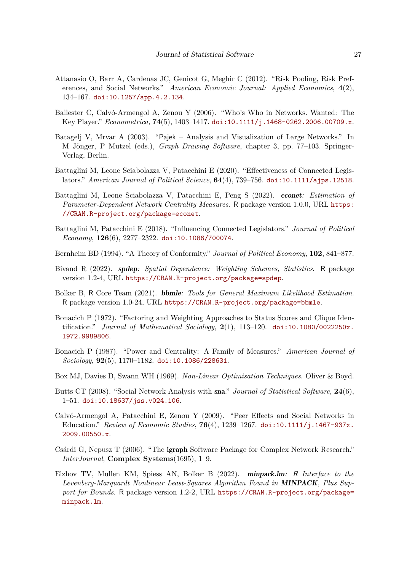- <span id="page-26-14"></span>Attanasio O, Barr A, Cardenas JC, Genicot G, Meghir C (2012). "Risk Pooling, Risk Preferences, and Social Networks." *American Economic Journal: Applied Economics*, **4**(2), 134–167. [doi:10.1257/app.4.2.134](https://doi.org/10.1257/app.4.2.134).
- <span id="page-26-2"></span>Ballester C, Calvó-Armengol A, Zenou Y (2006). "Who's Who in Networks. Wanted: The Key Player." *Econometrica*, **74**(5), 1403–1417. [doi:10.1111/j.1468-0262.2006.00709.x](https://doi.org/10.1111/j.1468-0262.2006.00709.x).
- <span id="page-26-9"></span>Batagelj V, Mrvar A (2003). "Pajek – Analysis and Visualization of Large Networks." In M Jönger, P Mutzel (eds.), *Graph Drawing Software*, chapter 3, pp. 77–103. Springer-Verlag, Berlin.
- <span id="page-26-1"></span>Battaglini M, Leone Sciabolazza V, Patacchini E (2020). "Effectiveness of Connected Legislators." *American Journal of Political Science*, **64**(4), 739–756. [doi:10.1111/ajps.12518](https://doi.org/10.1111/ajps.12518).
- <span id="page-26-5"></span>Battaglini M, Leone Sciabolazza V, Patacchini E, Peng S (2022). econet*: Estimation of Parameter-Dependent Network Centrality Measures*. R package version 1.0.0, URL [https:](https://CRAN.R-project.org/package=econet) [//CRAN.R-project.org/package=econet](https://CRAN.R-project.org/package=econet).
- <span id="page-26-0"></span>Battaglini M, Patacchini E (2018). "Influencing Connected Legislators." *Journal of Political Economy*, **126**(6), 2277–2322. [doi:10.1086/700074](https://doi.org/10.1086/700074).
- <span id="page-26-10"></span>Bernheim BD (1994). "A Theory of Conformity." *Journal of Political Economy*, **102**, 841–877.
- <span id="page-26-8"></span>Bivand R (2022). spdep*: Spatial Dependence: Weighting Schemes, Statistics*. R package version 1.2-4, URL <https://CRAN.R-project.org/package=spdep>.
- <span id="page-26-15"></span>Bolker B, R Core Team (2021). bbmle*: Tools for General Maximum Likelihood Estimation*. R package version 1.0-24, URL <https://CRAN.R-project.org/package=bbmle>.
- <span id="page-26-3"></span>Bonacich P (1972). "Factoring and Weighting Approaches to Status Scores and Clique Identification." *Journal of Mathematical Sociology*, **2**(1), 113–120. [doi:10.1080/0022250x.](https://doi.org/10.1080/0022250x.1972.9989806) [1972.9989806](https://doi.org/10.1080/0022250x.1972.9989806).
- <span id="page-26-4"></span>Bonacich P (1987). "Power and Centrality: A Family of Measures." *American Journal of Sociology*, **92**(5), 1170–1182. [doi:10.1086/228631](https://doi.org/10.1086/228631).
- <span id="page-26-12"></span>Box MJ, Davies D, Swann WH (1969). *Non-Linear Optimisation Techniques*. Oliver & Boyd.
- <span id="page-26-7"></span>Butts CT (2008). "Social Network Analysis with sna." *Journal of Statistical Software*, **24**(6), 1–51. [doi:10.18637/jss.v024.i06](https://doi.org/10.18637/jss.v024.i06).
- <span id="page-26-11"></span>Calvó-Armengol A, Patacchini E, Zenou Y (2009). "Peer Effects and Social Networks in Education." *Review of Economic Studies*, **76**(4), 1239–1267. [doi:10.1111/j.1467-937x.](https://doi.org/10.1111/j.1467-937x.2009.00550.x) [2009.00550.x](https://doi.org/10.1111/j.1467-937x.2009.00550.x).
- <span id="page-26-6"></span>Csárdi G, Nepusz T (2006). "The igraph Software Package for Complex Network Research." *InterJournal*, **Complex Systems**(1695), 1–9.
- <span id="page-26-13"></span>Elzhov TV, Mullen KM, Spiess AN, Bolker B (2022). minpack.lm*:* R *Interface to the Levenberg-Marquardt Nonlinear Least-Squares Algorithm Found in* MINPACK*, Plus Support for Bounds*. R package version 1.2-2, URL [https://CRAN.R-project.org/package=](https://CRAN.R-project.org/package=minpack.lm) [minpack.lm](https://CRAN.R-project.org/package=minpack.lm).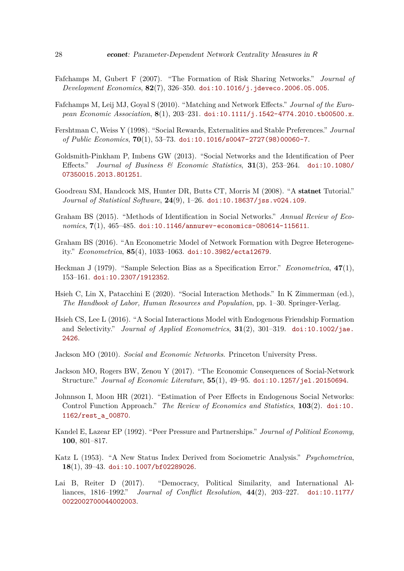- <span id="page-27-7"></span>Fafchamps M, Gubert F (2007). "The Formation of Risk Sharing Networks." *Journal of Development Economics*, **82**(7), 326–350. [doi:10.1016/j.jdeveco.2006.05.005](https://doi.org/10.1016/j.jdeveco.2006.05.005).
- <span id="page-27-9"></span>Fafchamps M, Leij MJ, Goyal S (2010). "Matching and Network Effects." *Journal of the European Economic Association*, **8**(1), 203–231. [doi:10.1111/j.1542-4774.2010.tb00500.x](https://doi.org/10.1111/j.1542-4774.2010.tb00500.x).
- <span id="page-27-6"></span>Fershtman C, Weiss Y (1998). "Social Rewards, Externalities and Stable Preferences." *Journal of Public Economics*, **70**(1), 53–73. [doi:10.1016/s0047-2727\(98\)00060-7](https://doi.org/10.1016/s0047-2727(98)00060-7).
- <span id="page-27-13"></span>Goldsmith-Pinkham P, Imbens GW (2013). "Social Networks and the Identification of Peer Effects." *Journal of Business & Economic Statistics*, **31**(3), 253–264. [doi:10.1080/](https://doi.org/10.1080/07350015.2013.801251) [07350015.2013.801251](https://doi.org/10.1080/07350015.2013.801251).
- <span id="page-27-4"></span>Goodreau SM, Handcock MS, Hunter DR, Butts CT, Morris M (2008). "A statnet Tutorial." *Journal of Statistical Software*, **24**(9), 1–26. [doi:10.18637/jss.v024.i09](https://doi.org/10.18637/jss.v024.i09).
- <span id="page-27-10"></span>Graham BS (2015). "Methods of Identification in Social Networks." *Annual Review of Economics*, **7**(1), 465–485. [doi:10.1146/annurev-economics-080614-115611](https://doi.org/10.1146/annurev-economics-080614-115611).
- <span id="page-27-11"></span>Graham BS (2016). "An Econometric Model of Network Formation with Degree Heterogeneity." *Econometrica*, **85**(4), 1033–1063. [doi:10.3982/ecta12679](https://doi.org/10.3982/ecta12679).
- <span id="page-27-3"></span>Heckman J (1979). "Sample Selection Bias as a Specification Error." *Econometrica*, **47**(1), 153–161. [doi:10.2307/1912352](https://doi.org/10.2307/1912352).
- <span id="page-27-2"></span>Hsieh C, Lin X, Patacchini E (2020). "Social Interaction Methods." In K Zimmerman (ed.), *The Handbook of Labor, Human Resources and Population*, pp. 1–30. Springer-Verlag.
- <span id="page-27-14"></span>Hsieh CS, Lee L (2016). "A Social Interactions Model with Endogenous Friendship Formation and Selectivity." *Journal of Applied Econometrics*, **31**(2), 301–319. [doi:10.1002/jae.](https://doi.org/10.1002/jae.2426) [2426](https://doi.org/10.1002/jae.2426).
- <span id="page-27-15"></span>Jackson MO (2010). *Social and Economic Networks*. Princeton University Press.
- <span id="page-27-1"></span>Jackson MO, Rogers BW, Zenou Y (2017). "The Economic Consequences of Social-Network Structure." *Journal of Economic Literature*, **55**(1), 49–95. [doi:10.1257/jel.20150694](https://doi.org/10.1257/jel.20150694).
- <span id="page-27-12"></span>Johnnson I, Moon HR (2021). "Estimation of Peer Effects in Endogenous Social Networks: Control Function Approach." *The Review of Economics and Statistics*, **103**(2). [doi:10.](https://doi.org/10.1162/rest_a_00870) [1162/rest\\_a\\_00870](https://doi.org/10.1162/rest_a_00870).
- <span id="page-27-5"></span>Kandel E, Lazear EP (1992). "Peer Pressure and Partnerships." *Journal of Political Economy*, **100**, 801–817.
- <span id="page-27-0"></span>Katz L (1953). "A New Status Index Derived from Sociometric Analysis." *Psychometrica*, **18**(1), 39–43. [doi:10.1007/bf02289026](https://doi.org/10.1007/bf02289026).
- <span id="page-27-8"></span>Lai B, Reiter D (2017). "Democracy, Political Similarity, and International Alliances, 1816–1992." *Journal of Conflict Resolution*, **44**(2), 203–227. [doi:10.1177/](https://doi.org/10.1177/0022002700044002003) [0022002700044002003](https://doi.org/10.1177/0022002700044002003).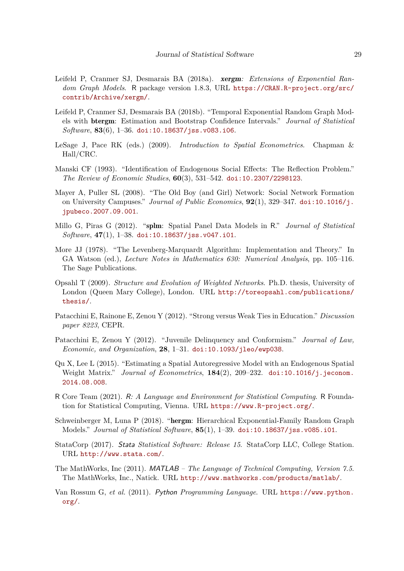- <span id="page-28-5"></span>Leifeld P, Cranmer SJ, Desmarais BA (2018a). xergm*: Extensions of Exponential Random Graph Models*. R package version 1.8.3, URL [https://CRAN.R-project.org/src/](https://CRAN.R-project.org/src/contrib/Archive/xergm/) [contrib/Archive/xergm/](https://CRAN.R-project.org/src/contrib/Archive/xergm/).
- <span id="page-28-3"></span>Leifeld P, Cranmer SJ, Desmarais BA (2018b). "Temporal Exponential Random Graph Models with btergm: Estimation and Bootstrap Confidence Intervals." *Journal of Statistical Software*, **83**(6), 1–36. [doi:10.18637/jss.v083.i06](https://doi.org/10.18637/jss.v083.i06).
- <span id="page-28-15"></span>LeSage J, Pace RK (eds.) (2009). *Introduction to Spatial Econometrics*. Chapman & Hall/CRC.
- <span id="page-28-0"></span>Manski CF (1993). "Identification of Endogenous Social Effects: The Reflection Problem." *The Review of Economic Studies*, **60**(3), 531–542. [doi:10.2307/2298123](https://doi.org/10.2307/2298123).
- <span id="page-28-13"></span>Mayer A, Puller SL (2008). "The Old Boy (and Girl) Network: Social Network Formation on University Campuses." *Journal of Public Economics*, **92**(1), 329–347. [doi:10.1016/j.](https://doi.org/10.1016/j.jpubeco.2007.09.001) [jpubeco.2007.09.001](https://doi.org/10.1016/j.jpubeco.2007.09.001).
- <span id="page-28-6"></span>Millo G, Piras G (2012). "splm: Spatial Panel Data Models in R." *Journal of Statistical Software*, **47**(1), 1–38. [doi:10.18637/jss.v047.i01](https://doi.org/10.18637/jss.v047.i01).
- <span id="page-28-12"></span>More JJ (1978). "The Levenberg-Marquardt Algorithm: Implementation and Theory." In GA Watson (ed.), *Lecture Notes in Mathematics 630: Numerical Analysis*, pp. 105–116. The Sage Publications.
- <span id="page-28-2"></span>Opsahl T (2009). *Structure and Evolution of Weighted Networks*. Ph.D. thesis, University of London (Queen Mary College), London. URL [http://toreopsahl.com/publications/](http://toreopsahl.com/publications/thesis/) [thesis/](http://toreopsahl.com/publications/thesis/).
- <span id="page-28-11"></span>Patacchini E, Rainone E, Zenou Y (2012). "Strong versus Weak Ties in Education." *Discussion paper 8223*, CEPR.
- <span id="page-28-10"></span>Patacchini E, Zenou Y (2012). "Juvenile Delinquency and Conformism." *Journal of Law, Economic, and Organization*, **28**, 1–31. [doi:10.1093/jleo/ewp038](https://doi.org/10.1093/jleo/ewp038).
- <span id="page-28-14"></span>Qu X, Lee L (2015). "Estimating a Spatial Autoregressive Model with an Endogenous Spatial Weight Matrix." *Journal of Econometrics*, **184**(2), 209–232. [doi:10.1016/j.jeconom.](https://doi.org/10.1016/j.jeconom.2014.08.008) [2014.08.008](https://doi.org/10.1016/j.jeconom.2014.08.008).
- <span id="page-28-1"></span>R Core Team (2021). R*: A Language and Environment for Statistical Computing*. R Foundation for Statistical Computing, Vienna. URL <https://www.R-project.org/>.
- <span id="page-28-4"></span>Schweinberger M, Luna P (2018). "hergm: Hierarchical Exponential-Family Random Graph Models." *Journal of Statistical Software*, **85**(1), 1–39. [doi:10.18637/jss.v085.i01](https://doi.org/10.18637/jss.v085.i01).
- <span id="page-28-9"></span>StataCorp (2017). Stata *Statistical Software: Release 15*. StataCorp LLC, College Station. URL <http://www.stata.com/>.
- <span id="page-28-7"></span>The MathWorks, Inc (2011). MATLAB *– The Language of Technical Computing, Version 7.5*. The MathWorks, Inc., Natick. URL <http://www.mathworks.com/products/matlab/>.
- <span id="page-28-8"></span>Van Rossum G, *et al.* (2011). Python *Programming Language*. URL [https://www.python.](https://www.python.org/) [org/](https://www.python.org/).